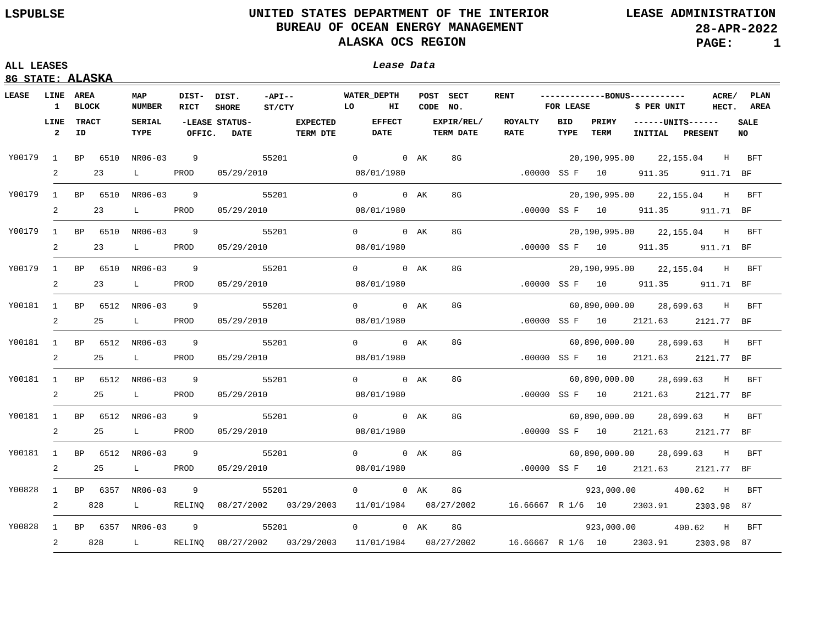## **ALL LEASES Lease Data**

| LEASE  | <b>LINE AREA</b><br>$\mathbf{1}$ | <b>BLOCK</b>       |     | MAP<br><b>NUMBER</b>          | DIST- DIST.<br>RICT | <b>SHORE</b>                                       | $-{\tt API}--$<br>ST/CTY | <b>EQUATE THE EQUATE</b>           | <b>WATER DEPTH</b><br>HI     | CODE NO. | POST SECT                      | <b>RENT</b>                                                                             | <b>FOR LEASE</b> |      | ------------BONUS-----------<br>\$ PER UNIT | ACRE/<br>HECT. | PLAN<br>AREA       |
|--------|----------------------------------|--------------------|-----|-------------------------------|---------------------|----------------------------------------------------|--------------------------|------------------------------------|------------------------------|----------|--------------------------------|-----------------------------------------------------------------------------------------|------------------|------|---------------------------------------------|----------------|--------------------|
|        | LINE<br>$\overline{2}$           | <b>TRACT</b><br>ID |     | <b>SERIAL</b><br>TYPE         | OFFIC.              | -LEASE STATUS-<br><b>DATE</b>                      |                          | <b>EXPECTED</b><br><b>TERM DTE</b> | <b>EFFECT</b><br><b>DATE</b> |          | EXPIR/REL/<br><b>TERM DATE</b> | ROYALTY<br><b>RATE</b>                                                                  | BID<br>TYPE      | TERM | PRIMY ------UNITS------<br>INITIAL PRESENT  |                | <b>SALE</b><br>NO. |
| Y00179 |                                  |                    |     | 1 BP 6510 NR06-03             |                     | $\overline{9}$                                     | 55201                    |                                    | 0 0 AK                       |          | 8G                             |                                                                                         |                  |      | 20,190,995.00 22,155.04 H BFT               |                |                    |
|        | 2                                |                    | 23  | $\mathbf{L}$ and $\mathbf{L}$ | PROD                | 05/29/2010                                         |                          |                                    | 08/01/1980                   |          |                                |                                                                                         |                  |      | .00000 SS F 10 911.35 911.71 BF             |                |                    |
| Y00179 |                                  |                    |     | 1 BP 6510 NR06-03             | $\overline{9}$      |                                                    | 55201                    |                                    | 0 0 AK                       |          | 8G                             |                                                                                         |                  |      | 20,190,995.00 22,155.04 H BFT               |                |                    |
|        | 2                                |                    | 23  | $\mathbf{L}$ and $\mathbf{L}$ | PROD                | 05/29/2010                                         |                          |                                    | 08/01/1980                   |          |                                |                                                                                         |                  |      | .00000 SS F 10 911.35 911.71 BF             |                |                    |
| Y00179 |                                  |                    |     | 1 BP 6510 NR06-03             | $\overline{9}$      |                                                    | 55201                    |                                    | 0 0 AK                       |          | 8G                             |                                                                                         |                  |      | 20,190,995.00 22,155.04 H BFT               |                |                    |
|        | 2                                |                    | 23  | $\mathbf{L}$ and $\mathbf{L}$ | PROD                | 05/29/2010                                         |                          |                                    | 08/01/1980                   |          |                                |                                                                                         |                  |      | .00000 SS F 10 911.35 911.71 BF             |                |                    |
| Y00179 |                                  |                    |     | 1 BP 6510 NR06-03             | $\overline{9}$      |                                                    | 55201                    |                                    | 0 0 AK                       |          | 8G                             |                                                                                         |                  |      | 20,190,995.00 22,155.04 H BFT               |                |                    |
|        | 2                                |                    | 23  | $\mathbf{L}$ and $\mathbf{L}$ | PROD                | 05/29/2010                                         |                          |                                    | 08/01/1980                   |          |                                |                                                                                         |                  |      | .00000 SS F 10 911.35 911.71 BF             |                |                    |
| Y00181 |                                  |                    |     | 1 BP 6512 NR06-03             | $\overline{9}$      |                                                    | 55201                    |                                    | 0 0 AK                       |          | 8G                             |                                                                                         |                  |      | 60,890,000.00 28,699.63 H BFT               |                |                    |
|        | 2                                |                    | 25  | $\mathbf{L}$ and $\mathbf{L}$ | PROD                | 05/29/2010                                         |                          |                                    | 08/01/1980                   |          |                                |                                                                                         |                  |      | .00000 SS F 10 2121.63 2121.77 BF           |                |                    |
| Y00181 |                                  |                    |     | 1 BP 6512 NR06-03             | 9                   |                                                    | 55201                    |                                    | 0 0 AK                       |          | 8G                             |                                                                                         |                  |      | 60,890,000.00 28,699.63 H BFT               |                |                    |
|        | 2                                |                    | 25  | $\mathbf{L}$ and $\mathbf{L}$ | PROD                | 05/29/2010                                         |                          |                                    | 08/01/1980                   |          |                                |                                                                                         |                  |      | .00000 SS F 10 2121.63 2121.77 BF           |                |                    |
|        |                                  |                    |     | Y00181 1 BP 6512 NR06-03      | 9                   |                                                    | 55201                    |                                    | 0 0 AK                       |          | 8G                             |                                                                                         |                  |      | 60,890,000.00 28,699.63 H BFT               |                |                    |
|        | $\overline{2}$                   |                    | 25  | $\mathbf{L}$ and $\mathbf{L}$ | PROD                | 05/29/2010                                         |                          |                                    | 08/01/1980                   |          |                                |                                                                                         |                  |      | .00000 SS F 10 2121.63 2121.77 BF           |                |                    |
|        |                                  |                    |     | Y00181 1 BP 6512 NR06-03      | 9                   |                                                    | 55201                    |                                    | 0 0 AK                       |          | 8G                             |                                                                                         |                  |      | 60,890,000.00 28,699.63 H BFT               |                |                    |
|        | 2                                |                    | 25  | $\mathbf{L}$ and $\mathbf{L}$ | PROD                | 05/29/2010                                         |                          |                                    | 08/01/1980                   |          |                                |                                                                                         |                  |      | .00000 SS F 10 2121.63 2121.77 BF           |                |                    |
|        |                                  |                    |     | Y00181 1 BP 6512 NR06-03      | $\overline{9}$      |                                                    | 55201                    |                                    | 0 0 AK                       |          | 8G                             |                                                                                         |                  |      | 60,890,000.00 28,699.63 H BFT               |                |                    |
|        | 2                                |                    | 25  | $\mathbf{L}$ and $\mathbf{L}$ | PROD                | 05/29/2010                                         |                          | 08/01/1980                         |                              |          |                                |                                                                                         |                  |      | .00000 SS F 10 2121.63 2121.77 BF           |                |                    |
| Y00828 |                                  |                    |     | 1 BP 6357 NR06-03             | 9                   |                                                    | 55201                    |                                    | 0 0 AK                       |          | 8G                             |                                                                                         |                  |      | 923,000.00 400.62 H BFT                     |                |                    |
|        | 2                                |                    | 828 | $\mathbf{L}$ and $\mathbf{L}$ |                     | RELINQ 08/27/2002 03/29/2003 11/01/1984 08/27/2002 |                          |                                    |                              |          |                                |                                                                                         |                  |      | 16.66667 R 1/6 10 2303.91 2303.98 87        |                |                    |
| Y00828 |                                  |                    |     | 1 BP 6357 NR06-03             | 9                   | 55201                                              |                          |                                    | 0 0 AK                       |          | 8G                             |                                                                                         |                  |      | 923,000.00 400.62 H                         |                | BFT                |
|        | 2                                |                    | 828 | $\mathbf{L}$ and $\mathbf{L}$ |                     |                                                    |                          |                                    |                              |          |                                | RELINQ 08/27/2002 03/29/2003 11/01/1984 08/27/2002 16.66667 R 1/6 10 2303.91 2303.98 87 |                  |      |                                             |                |                    |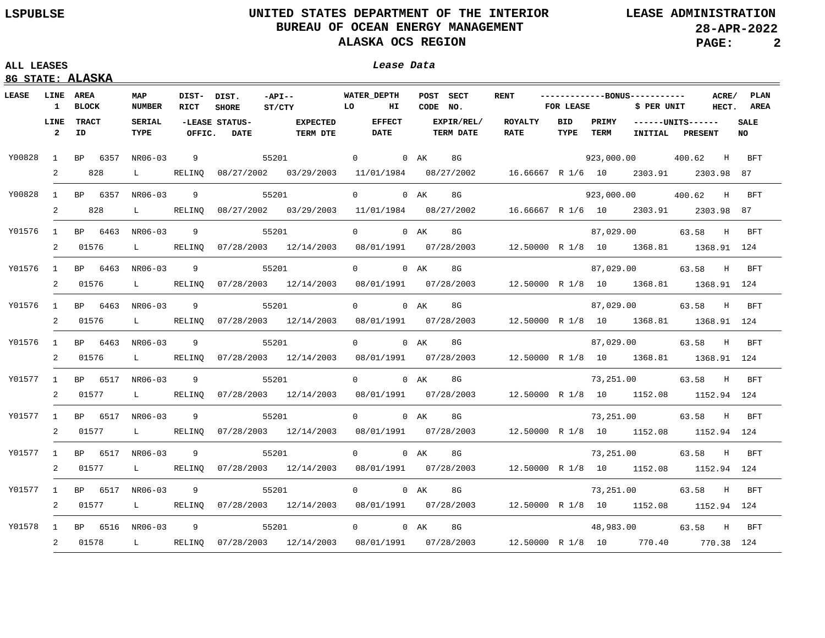| <b>LEASE</b> |                        | 8G STATE: ALASKA<br><b>LINE AREA</b> |                               |                     |                               |                                                                                          |                              |                                                                     |                               |             |                      |                                             |                          |                |              |
|--------------|------------------------|--------------------------------------|-------------------------------|---------------------|-------------------------------|------------------------------------------------------------------------------------------|------------------------------|---------------------------------------------------------------------|-------------------------------|-------------|----------------------|---------------------------------------------|--------------------------|----------------|--------------|
|              | $\mathbf{1}$           | BLOCK                                | MAP<br><b>NUMBER</b>          | DIST- DIST.<br>RICT | <b>SHORE</b>                  | $-API --$<br><b>EQUATE TO</b><br>ST/CTY                                                  | <b>WATER DEPTH</b><br>НΙ     | POST SECT<br>CODE NO.                                               | <b>RENT</b>                   | FOR LEASE   |                      | ------------BONUS-----------<br>\$ PER UNIT |                          | ACRE/<br>HECT. | PLAN<br>AREA |
|              | LINE<br>$\overline{2}$ | <b>TRACT</b><br>ID                   | <b>SERIAL</b><br>TYPE         | OFFIC.              | -LEASE STATUS-<br><b>DATE</b> | <b>EXPECTED</b><br><b>TERM DTE</b>                                                       | <b>EFFECT</b><br><b>DATE</b> | EXPIR/REL/<br><b>TERM DATE</b>                                      | <b>ROYALTY</b><br><b>RATE</b> | BID<br>TYPE | PRIMY<br><b>TERM</b> | INITIAL                                     | $---UNITS---$<br>PRESENT |                | SALE<br>NO   |
| Y00828       | 1                      | BP 6357                              | NR06-03                       | 9                   |                               | 55201                                                                                    | $\overline{0}$               | 0 AK<br>8G                                                          |                               |             |                      | 923,000.00                                  | 400.62                   | H              | BFT          |
|              | 2                      | 828                                  | L                             | RELINO              |                               | 08/27/2002 03/29/2003                                                                    |                              | $11/01/1984$ 08/27/2002 16.66667 R 1/6 10 2303.91                   |                               |             |                      |                                             | 2303.98 87               |                |              |
| Y00828       |                        | 1 BP 6357                            | NR06-03                       | 9                   |                               | 55201                                                                                    | $0 \qquad \qquad$            | $0$ AK<br>8G                                                        |                               |             |                      | 923,000.00                                  | 400.62 H                 |                | BFT          |
|              | $\overline{2}$         | 828                                  | L                             | RELINQ              |                               | 08/27/2002 03/29/2003                                                                    | 11/01/1984                   | 08/27/2002                                                          | 16.66667 R 1/6 10 2303.91     |             |                      |                                             | 2303.98 87               |                |              |
| Y01576       | 1                      | BP 6463                              | NR06-03                       | 9                   |                               | 55201                                                                                    | $0 \qquad \qquad$            | $0$ AK<br>8G                                                        |                               |             | 87,029.00            |                                             | 63.58 H                  |                | BFT          |
|              | 2                      | 01576                                | L                             | RELINO              |                               | 07/28/2003 12/14/2003                                                                    |                              | 08/01/1991  07/28/2003  12.50000  R  1/8  10  1368.81  1368.91  124 |                               |             |                      |                                             |                          |                |              |
| Y01576       | $\mathbf{1}$           | BP 6463                              | NR06-03                       | 9                   |                               | 55201                                                                                    | $\Omega$                     | $0$ AK<br>8G                                                        |                               |             |                      | 87,029.00                                   | 63.58 H                  |                | BFT          |
|              | 2                      | 01576                                | $\mathbf{L}$                  | RELINO              |                               | 07/28/2003 12/14/2003                                                                    |                              | 08/01/1991  07/28/2003  12.50000  R  1/8  10  1368.81  1368.91  124 |                               |             |                      |                                             |                          |                |              |
| Y01576       | $\mathbf{1}$           | BP 6463                              | NR06-03                       | 9                   |                               | 55201                                                                                    | $\overline{0}$               | 8G<br>0 AK                                                          |                               |             |                      | 87,029.00                                   | 63.58 H                  |                | BFT          |
|              | 2                      | 01576                                | $\mathbf{L}$ and $\mathbf{L}$ | RELINO              |                               | 07/28/2003 12/14/2003                                                                    |                              | 08/01/1991  07/28/2003  12.50000  R  1/8  10  1368.81  1368.91  124 |                               |             |                      |                                             |                          |                |              |
| Y01576       | $\mathbf{1}$           | BP 6463                              | NR06-03                       | 9                   |                               | 55201                                                                                    | $\overline{0}$               | $0$ AK<br>8G                                                        |                               |             | 87,029.00            |                                             | 63.58 H                  |                | BFT          |
|              | 2                      | 01576                                | $\mathbf{L}$ and $\mathbf{L}$ | RELINO              |                               | $07/28/2003$ $12/14/2003$                                                                |                              | 08/01/1991  07/28/2003  12.50000  R  1/8  10  1368.81  1368.91  124 |                               |             |                      |                                             |                          |                |              |
| Y01577       | $\mathbf{1}$           | BP 6517                              | NR06-03                       | 9                   |                               | 55201                                                                                    | $\overline{0}$               | $0$ AK<br>8G                                                        |                               |             | 73,251.00            |                                             | 63.58                    |                | H BFT        |
|              | 2                      | 01577                                | $\mathbf{L}$                  | RELINQ              |                               | 07/28/2003 12/14/2003                                                                    |                              | 08/01/1991  07/28/2003                                              |                               |             |                      | 12.50000 R 1/8 10 1152.08 1152.94 124       |                          |                |              |
| Y01577       | 1                      | BP 6517 NR06-03                      |                               | 9                   |                               | 55201                                                                                    | $0 \qquad \qquad$            | $0$ AK<br>8G                                                        |                               |             |                      | 73,251.00                                   | 63.58 H                  |                | <b>BFT</b>   |
|              | 2                      | 01577                                | $L =$                         | RELINO              |                               | 07/28/2003 12/14/2003                                                                    |                              | 08/01/1991   07/28/2003                                             |                               |             |                      | 12.50000 R 1/8 10 1152.08 1152.94 124       |                          |                |              |
| Y01577       | $\mathbf{1}$           | BP 6517                              | NR06-03                       | 9                   |                               | 55201                                                                                    | $0 \qquad \qquad$            | 0 AK<br>8G                                                          |                               |             | 73,251.00            |                                             | 63.58 H                  |                | BFT          |
|              | 2                      | 01577                                | $\mathbf{L}$ and $\mathbf{L}$ | RELINO              |                               | $07/28/2003$ $12/14/2003$ $08/01/1991$ $07/28/2003$                                      |                              |                                                                     |                               |             |                      | 12.50000 R 1/8 10 1152.08 1152.94 124       |                          |                |              |
| Y01577       | $\mathbf{1}$           | BP 6517                              | NR06-03                       | 9                   |                               | 55201                                                                                    | $0 \qquad \qquad$            | $0$ AK<br>8G                                                        |                               |             | 73,251.00            |                                             | 63.58 H                  |                | BFT          |
|              | 2                      | 01577                                | $\mathbf{L}$ and $\mathbf{L}$ | RELINQ              |                               | $07/28/2003$ $12/14/2003$ $08/01/1991$ $07/28/2003$                                      |                              |                                                                     |                               |             |                      | 12.50000 R 1/8 10 1152.08 1152.94 124       |                          |                |              |
| Y01578       | 1                      | BP 6516 NR06-03                      |                               | 9                   |                               | 55201                                                                                    | $0 \qquad \qquad$            | $0$ AK<br>8G                                                        |                               |             | 48,983.00            |                                             | 63.58 H                  |                | <b>BFT</b>   |
|              | $\overline{2}$         | 01578                                |                               |                     |                               | L RELINQ 07/28/2003 12/14/2003 08/01/1991 07/28/2003 12.50000 R 1/8 10 770.40 770.38 124 |                              |                                                                     |                               |             |                      |                                             |                          |                |              |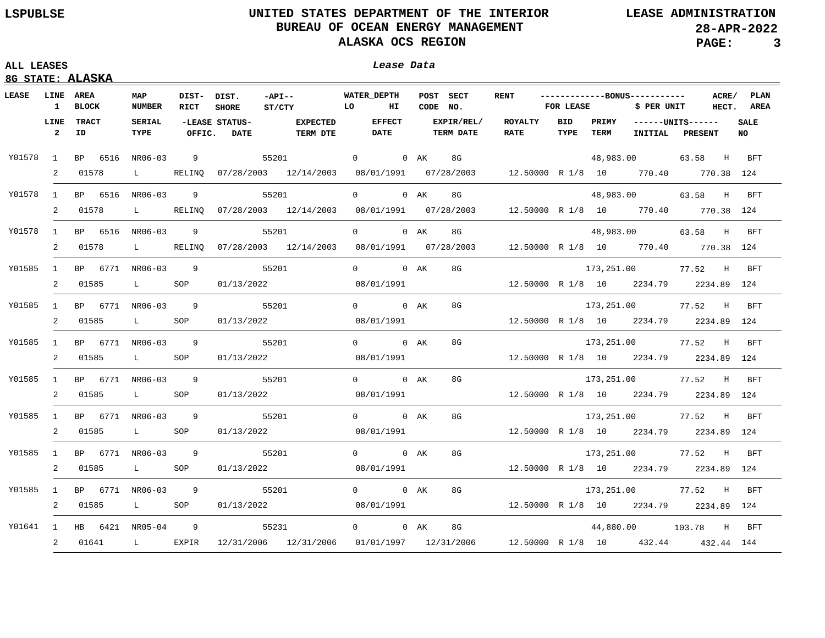| uu uravro |  |
|-----------|--|
|           |  |

|                 | 8G STATE: ALASKA |                            |                               |                     |                           |                                                                                        |  |               |  |                       |                                                                           |           |             |                                              |                 |                          |
|-----------------|------------------|----------------------------|-------------------------------|---------------------|---------------------------|----------------------------------------------------------------------------------------|--|---------------|--|-----------------------|---------------------------------------------------------------------------|-----------|-------------|----------------------------------------------|-----------------|--------------------------|
|                 |                  |                            |                               |                     |                           |                                                                                        |  |               |  |                       |                                                                           |           |             |                                              |                 |                          |
| LEASE LINE AREA |                  | 1 BLOCK                    | MAP<br>NUMBER                 | DIST- DIST.<br>RICT | <b>SHORE</b>              | WATER_DEPTH<br>$-API--$<br><b>LO</b><br>ST/CTY                                         |  | <b>HI</b>     |  | POST SECT<br>CODE NO. | <b>RENT</b>                                                               | FOR LEASE |             | -------------BONUS-----------<br>\$ PER UNIT |                 | ACRE/ PLAN<br>HECT. AREA |
|                 | LINE             | <b>TRACT</b>               | SERIAL                        |                     | -LEASE STATUS-            | <b>EXPECTED</b>                                                                        |  | <b>EFFECT</b> |  | EXPIR/REL/            | ROYALTY                                                                   | BID       |             | PRIMY ------UNITS------                      |                 | <b>SALE</b>              |
|                 |                  | $2$ ID                     | TYPE                          | OFFIC.              | <b>DATE</b>               | <b>TERM DTE</b>                                                                        |  | DATE          |  | <b>TERM DATE</b>      | <b>RATE</b>                                                               | TYPE      | <b>TERM</b> |                                              | INITIAL PRESENT | <b>NO</b>                |
|                 |                  | Y01578 1 BP 6516 NR06-03   |                               |                     |                           | 9 55201 0 0 AK 8G                                                                      |  |               |  |                       |                                                                           |           |             | 48,983.00                                    | 63.58 H BFT     |                          |
|                 |                  | 2 01578                    | $\mathbf{L}$ and $\mathbf{L}$ |                     |                           | RELINQ 07/28/2003 12/14/2003 08/01/1991 07/28/2003 12.50000 R 1/8 10 770.40 770.38 124 |  |               |  |                       |                                                                           |           |             |                                              |                 |                          |
|                 |                  | Y01578 1 BP 6516 NR06-03   |                               | 9                   |                           | 55201                                                                                  |  | $0$ 0 AK      |  | 8G                    |                                                                           |           |             | 48,983.00                                    | 63.58 H BFT     |                          |
|                 | 2                | 01578                      | $\mathbf{L}$ and $\mathbf{L}$ |                     |                           | RELINQ 07/28/2003 12/14/2003 08/01/1991 07/28/2003 12.50000 R 1/8 10 770.40 770.38 124 |  |               |  |                       |                                                                           |           |             |                                              |                 |                          |
| Y01578          |                  | 1 BP 6516 NR06-03          |                               | 9                   | 55201                     |                                                                                        |  |               |  | 0 0 AK 8G             |                                                                           |           |             | 48,983.00 63.58 H BFT                        |                 |                          |
|                 | 2                | 01578                      | $\mathbf{L}$ and $\mathbf{L}$ |                     |                           | RELINO 07/28/2003 12/14/2003                                                           |  |               |  |                       | 08/01/1991  07/28/2003  12.50000  R        1/8  10   770.40   770.38  124 |           |             |                                              |                 |                          |
| Y01585          |                  |                            |                               |                     | 1 BP 6771 NR06-03 9 55201 |                                                                                        |  | 0 0 AK        |  | 8G                    |                                                                           |           |             | 173,251.00 77.52 H BFT                       |                 |                          |
|                 |                  | 2 01585                    | $\mathbf{L}$ and $\mathbf{L}$ | SOP                 | 01/13/2022                |                                                                                        |  | 08/01/1991    |  |                       | $12.50000 \text{ R}$ $1/8$ $10$ $2234.79$ $2234.89$ $124$                 |           |             |                                              |                 |                          |
| Y01585          |                  |                            |                               |                     | 1 BP 6771 NR06-03 9 55201 |                                                                                        |  | 0 0 AK        |  | 8G                    |                                                                           |           |             | 173,251.00 77.52 H BFT                       |                 |                          |
|                 | 2                |                            |                               |                     | 01585 L SOP 01/13/2022    |                                                                                        |  | 08/01/1991    |  |                       | 12.50000 R 1/8 10 2234.79 2234.89 124                                     |           |             |                                              |                 |                          |
| Y01585          |                  |                            |                               |                     | 1 BP 6771 NR06-03 9 55201 |                                                                                        |  | 0 0 AK        |  | 8G                    |                                                                           |           |             | 173,251.00 77.52 H BFT                       |                 |                          |
|                 |                  |                            |                               |                     |                           | 2 01585 L SOP 01/13/2022                                                               |  |               |  |                       | 08/01/1991  12.50000 R 1/8 10  2234.79  2234.89  124                      |           |             |                                              |                 |                          |
| Y01585          |                  |                            |                               |                     | 1 BP 6771 NR06-03 9 55201 |                                                                                        |  | 0 0 AK        |  | 8G                    |                                                                           |           |             | 173,251.00 77.52 H BFT                       |                 |                          |
|                 |                  | 2 01585                    | L SOP                         |                     |                           | 01/13/2022                                                                             |  | 08/01/1991    |  |                       | 12.50000 R 1/8 10 2234.79 2234.89 124                                     |           |             |                                              |                 |                          |
| Y01585          |                  | 1 BP 6771 NR06-03 9        |                               |                     | 55201                     |                                                                                        |  | 0 0 AK        |  | 8G                    |                                                                           |           |             | 173,251.00 77.52 H BFT                       |                 |                          |
|                 |                  | 2 01585 L SOP              |                               |                     | 01/13/2022                |                                                                                        |  | 08/01/1991    |  |                       | 12.50000 R 1/8 10 2234.79 2234.89 124                                     |           |             |                                              |                 |                          |
| Y01585          |                  | 1 BP 6771 NR06-03 9        |                               |                     |                           | 55201                                                                                  |  | 0 0 AK        |  | 8G                    |                                                                           |           |             | 173,251.00 77.52 H                           |                 | BFT                      |
|                 |                  | 2 01585                    | L SOP                         |                     |                           | 01/13/2022                                                                             |  | 08/01/1991    |  |                       | 12.50000 R 1/8 10 2234.79 2234.89 124                                     |           |             |                                              |                 |                          |
| Y01585          |                  |                            |                               |                     | 1 BP 6771 NR06-03 9 55201 |                                                                                        |  | 0 0 AK 8G     |  |                       |                                                                           |           |             | 173,251.00 77.52 H BFT                       |                 |                          |
|                 |                  | 2 01585                    | L SOP                         |                     |                           | 01/13/2022                                                                             |  |               |  |                       | $08/01/1991$ 12.50000 R 1/8 10 2234.79 2234.89 124                        |           |             |                                              |                 |                          |
|                 |                  | Y01641 1 HB 6421 NR05-04 9 |                               |                     | 55231                     | $0$ 0 AK 8G                                                                            |  |               |  |                       |                                                                           |           |             | 44,880.00 103.78 H BFT                       |                 |                          |
|                 |                  | 2 01641                    | $\mathbf{L}$ and $\mathbf{L}$ |                     |                           | EXPIR 12/31/2006 12/31/2006                                                            |  |               |  |                       | $01/01/1997$ $12/31/2006$ $12.50000$ R $1/8$ 10 $432.44$ $432.44$ 144     |           |             |                                              |                 |                          |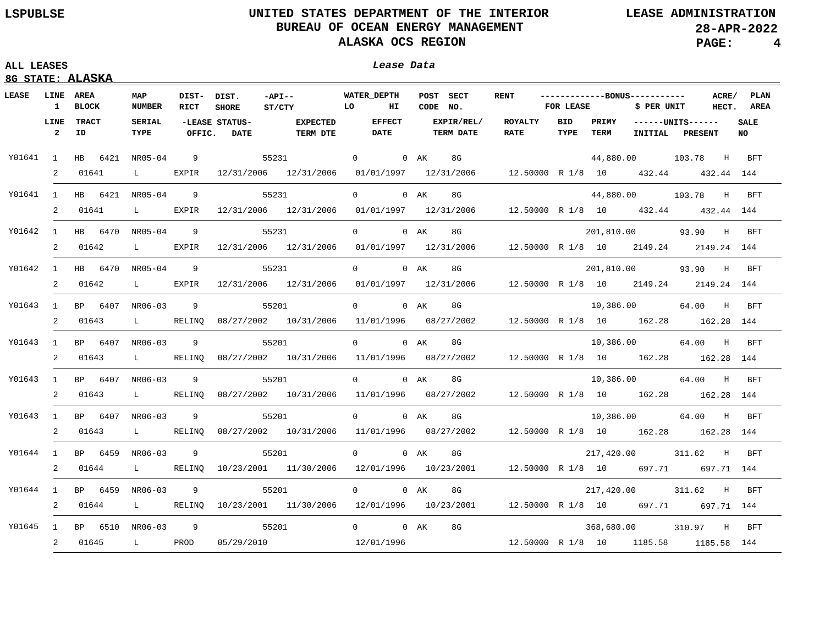### **ALL LEASES Lease Data**

| Lease Data |  |
|------------|--|
|------------|--|

| LEASE    | LINE                 | AREA                         | MAP                           | DIST- DIST. |                               | $-API--$                                                                                            | <b>WATER DEPTH</b>                                                        | POST SECT                      | <b>RENT</b>              |             | -------------BONUS----------- |                  | ACRE/                                | PLAN       |
|----------|----------------------|------------------------------|-------------------------------|-------------|-------------------------------|-----------------------------------------------------------------------------------------------------|---------------------------------------------------------------------------|--------------------------------|--------------------------|-------------|-------------------------------|------------------|--------------------------------------|------------|
|          | $\mathbf{1}$         | <b>BLOCK</b>                 | <b>NUMBER</b>                 | RICT        | <b>SHORE</b>                  | ST/CTY                                                                                              | LO<br>ΗІ                                                                  | CODE NO.                       |                          | FOR LEASE   |                               | \$ PER UNIT      | HECT.                                | AREA       |
|          | LINE<br>$\mathbf{2}$ | TRACT<br>ID                  | <b>SERIAL</b><br>TYPE         | OFFIC.      | -LEASE STATUS-<br><b>DATE</b> | <b>EXPECTED</b><br><b>TERM DTE</b>                                                                  | <b>EFFECT</b><br><b>DATE</b>                                              | EXPIR/REL/<br><b>TERM DATE</b> | ROYALTY<br><b>RATE</b>   | BID<br>TYPE | PRIMY<br>TERM                 |                  | ------UNITS------<br>INITIAL PRESENT | SALE<br>NO |
|          |                      | Y01641 1 HB 6421 NR05-04     |                               | 9           |                               | 55231                                                                                               | $\overline{0}$                                                            | 8G<br>0 AK                     |                          |             |                               |                  | 44,880.00 103.78 H BFT               |            |
|          | 2                    | 01641                        | $L$ $\sim$                    | EXPIR       |                               | 12/31/2006 12/31/2006 01/01/1997 12/31/2006                                                         |                                                                           |                                | 12.50000 R 1/8 10 432.44 |             |                               |                  | 432.44 144                           |            |
|          |                      |                              |                               |             |                               |                                                                                                     |                                                                           |                                |                          |             |                               |                  |                                      |            |
|          |                      | Y01641 1 HB 6421 NR05-04     |                               | 9           |                               | 55231                                                                                               | $0 \qquad \qquad$                                                         | 0 AK<br>8G                     |                          |             |                               | 44,880.00 103.78 | $H$ and $H$                          | BFT        |
|          | $\overline{a}$       | 01641                        | $\mathbf{L}$                  | EXPIR       |                               | $12/31/2006$ $12/31/2006$ $01/01/1997$ $12/31/2006$ $12.50000$ R $1/8$ 10 $432.44$ $432.44$ $144$   |                                                                           |                                |                          |             |                               |                  |                                      |            |
| Y01642   |                      | 1 HB 6470 NR05-04            |                               | 9           |                               | 55231                                                                                               | $0 \qquad \qquad$                                                         | $0$ AK<br>8G                   |                          |             | 201,810.00                    |                  | 93.90 H                              | <b>BFT</b> |
|          | 2                    | 01642                        | $\mathbf{L}$                  | EXPIR       |                               | 12/31/2006 12/31/2006                                                                               | $01/01/1997$ $12/31/2006$ $12.50000$ R $1/8$ 10 $2149.24$ $2149.24$ $144$ |                                |                          |             |                               |                  |                                      |            |
| Y01642   |                      | 1 HB 6470 NR05-04            |                               | 9           |                               | 55231                                                                                               | $\overline{0}$                                                            | 0 AK<br>8G                     |                          |             | 201,810.00                    |                  | 93.90 H                              | BFT        |
|          | $\mathbf{2}$         | 01642                        | $\mathbf{L}$ and $\mathbf{L}$ | EXPIR       |                               | $12/31/2006$ $12/31/2006$ $01/01/1997$ $12/31/2006$ $12.50000$ R $1/8$ 10 $2149.24$ $2149.24$ $144$ |                                                                           |                                |                          |             |                               |                  |                                      |            |
| Y01643   |                      | 1 BP 6407 NR06-03            |                               | 9           |                               | 55201                                                                                               | $\overline{0}$                                                            | 0 AK<br>8G                     |                          |             | 10,386.00                     |                  | 64.00 H                              | BFT        |
|          | $2^{\circ}$          | 01643                        | $\mathbf{L}$ and $\mathbf{L}$ | RELINO      |                               | 08/27/2002 10/31/2006                                                                               | 11/01/1996 08/27/2002                                                     |                                |                          |             |                               |                  | 12.50000 R 1/8 10 162.28 162.28 144  |            |
|          |                      |                              |                               |             |                               |                                                                                                     |                                                                           |                                |                          |             |                               |                  |                                      |            |
| Y01643   |                      | 1 BP 6407 NR06-03<br>2 01643 | $\mathbf{L}$ and $\mathbf{L}$ | 9<br>RELINO |                               | 55201<br>08/27/2002 10/31/2006 11/01/1996 08/27/2002                                                | $\overline{0}$                                                            | 0 AK<br>8G                     |                          |             | 10,386.00                     |                  | 64.00                                | H<br>BFT   |
|          |                      |                              |                               |             |                               |                                                                                                     |                                                                           |                                |                          |             |                               |                  | 12.50000 R 1/8 10 162.28 162.28 144  |            |
| Y01643   |                      | 1 BP 6407 NR06-03            |                               | 9           |                               | 55201                                                                                               | $\Omega$                                                                  | 8G<br>0 AK                     |                          |             |                               | 10,386.00        | 64.00                                | H<br>BFT   |
|          | $\overline{2}$       | 01643                        | $\mathbf{L}$ and $\mathbf{L}$ | RELINO      |                               | 08/27/2002 10/31/2006                                                                               | 11/01/1996 08/27/2002                                                     |                                |                          |             |                               |                  | 12.50000 R 1/8 10 162.28 162.28 144  |            |
| Y01643   |                      | 1 BP 6407                    | NR06-03                       | 9           |                               | 55201                                                                                               | $0 \qquad \qquad$                                                         | 0 AK<br>8G                     |                          |             |                               | 10,386.00        | 64.00 H                              | BFT        |
|          | 2                    | 01643                        | $\mathbf{L}$ and $\mathbf{L}$ | RELINO      |                               | 08/27/2002 10/31/2006                                                                               | 11/01/1996  08/27/2002                                                    |                                |                          |             |                               |                  | 12.50000 R 1/8 10 162.28 162.28 144  |            |
| Y01644   | $\mathbf{1}$         | BP 6459                      | NR06-03                       | 9           |                               | 55201                                                                                               | $0 \qquad \qquad$                                                         | 0 AK<br>8G                     |                          |             | 217,420.00                    |                  | 311.62<br>H                          | BFT        |
|          | 2                    | 01644                        | $\mathbf{L}$ and $\mathbf{L}$ | RELINO      |                               | 10/23/2001 11/30/2006 12/01/1996 10/23/2001                                                         |                                                                           |                                | 12.50000 R 1/8 10 697.71 |             |                               |                  | 697.71 144                           |            |
| Y01644 1 |                      | BP 6459                      | NR06-03                       | 9           |                               | 55201                                                                                               | $\Omega$                                                                  | 8G<br>0 AK                     |                          |             | 217,420.00                    |                  | 311.62<br>H                          | BFT        |
|          | 2                    | 01644                        | $\mathbf{L}$ and $\mathbf{L}$ | RELINO      |                               | 10/23/2001 11/30/2006 12/01/1996 10/23/2001                                                         |                                                                           |                                |                          |             |                               |                  | 12.50000 R 1/8 10 697.71 697.71 144  |            |
| Y01645   | $\mathbf{1}$         | BP 6510 NR06-03              |                               | 9           |                               | 55201                                                                                               | $0 \qquad \qquad$                                                         | 0 AK<br>8G                     |                          |             | 368,680.00                    |                  | 310.97 H                             | BFT        |
|          | $\overline{a}$       | 01645                        | L PROD                        |             |                               | 05/29/2010 12/01/1996 12.50000 R 1/8 10 1185.58 1185.58 144                                         |                                                                           |                                |                          |             |                               |                  |                                      |            |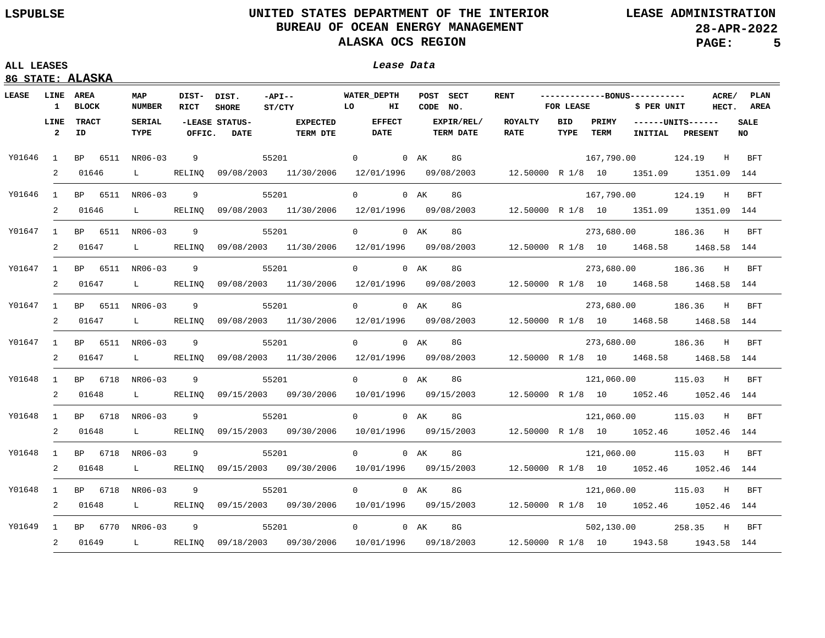## **ALL LEASES Lease Data**

| <b>LEASE</b> | 1                      | <b>LINE AREA</b><br><b>BLOCK</b> | MAP<br><b>NUMBER</b>          | DIST- DIST.<br>RICT | <b>SHORE</b>                  | $-API --$<br>ST/CTY                                                                        | <b>WATER DEPTH</b><br><b>LO</b><br>HI | CODE NO. | POST SECT                      | <b>RENT</b>                                                         | FOR LEASE   |               | -------------BONUS-----------<br>\$ PER UNIT |                                  |            | ACRE/ PLAN<br>HECT. AREA |
|--------------|------------------------|----------------------------------|-------------------------------|---------------------|-------------------------------|--------------------------------------------------------------------------------------------|---------------------------------------|----------|--------------------------------|---------------------------------------------------------------------|-------------|---------------|----------------------------------------------|----------------------------------|------------|--------------------------|
|              | LINE<br>$\overline{2}$ | <b>TRACT</b><br>ID               | <b>SERIAL</b><br>TYPE         | OFFIC.              | -LEASE STATUS-<br><b>DATE</b> | <b>EXPECTED</b><br><b>TERM DTE</b>                                                         | <b>EFFECT</b><br>DATE                 |          | EXPIR/REL/<br><b>TERM DATE</b> | <b>ROYALTY</b><br><b>RATE</b>                                       | BID<br>TYPE | PRIMY<br>TERM |                                              | $---UNITS---$<br>INITIAL PRESENT |            | <b>SALE</b><br>NO.       |
| Y01646 1     |                        | BP 6511 NR06-03                  |                               | 9                   |                               | 55201                                                                                      | 0 0 AK                                |          | 8G                             |                                                                     |             |               |                                              | 167,790.00 124.19                | H          | <b>BFT</b>               |
|              | 2                      | 01646                            | $\mathbf{L}$                  | RELINO              |                               | 09/08/2003 11/30/2006 12/01/1996 09/08/2003                                                |                                       |          |                                | 12.50000 R 1/8 10 1351.09 1351.09 144                               |             |               |                                              |                                  |            |                          |
| Y01646 1     |                        | BP 6511 NR06-03                  |                               | 9                   |                               | 55201                                                                                      | $\Omega$                              | 0 AK     | 8G                             |                                                                     |             |               | 167,790.00 124.19                            |                                  | H          | BFT                      |
|              | 2                      | 01646                            | $\mathbf{L}$                  | RELINO              |                               | 09/08/2003 11/30/2006 12/01/1996 09/08/2003                                                |                                       |          |                                | 12.50000 R 1/8 10 1351.09 1351.09 144                               |             |               |                                              |                                  |            |                          |
| Y01647 1     |                        | BP 6511 NR06-03                  |                               | 9                   |                               | 55201                                                                                      | $\Omega$                              | $0$ AK   | 8G                             |                                                                     |             |               | 273,680.00 186.36                            |                                  | H          | <b>BFT</b>               |
|              | 2                      | 01647                            | $\mathbf{L}$                  | RELINQ              |                               | 09/08/2003 11/30/2006                                                                      |                                       |          |                                | 12/01/1996  09/08/2003  12.50000  R  1/8  10  1468.58  1468.58  144 |             |               |                                              |                                  |            |                          |
| Y01647 1     |                        | BP 6511 NR06-03                  |                               | 9                   |                               | 55201                                                                                      | $\overline{0}$                        | $0$ AK   | 8G                             |                                                                     |             |               |                                              | 273,680.00 186.36 H BFT          |            |                          |
|              |                        | 2 01647                          | $\mathbf{L}$ and $\mathbf{L}$ | RELINQ              |                               | 09/08/2003 11/30/2006 12/01/1996 09/08/2003 12.50000 R 1/8 10 1468.58 1468.58 144          |                                       |          |                                |                                                                     |             |               |                                              |                                  |            |                          |
|              |                        | Y01647 1 BP 6511 NR06-03         |                               | 9                   |                               | 55201                                                                                      | $\overline{0}$                        | 0 AK     | 8G                             |                                                                     |             |               | 273,680.00 186.36                            |                                  | H          | BFT                      |
|              | 2                      | 01647                            | $\mathbf{L}$ and $\mathbf{L}$ | RELINO              |                               | 09/08/2003 11/30/2006 12/01/1996 09/08/2003                                                |                                       |          |                                | 12.50000 R 1/8 10 1468.58 1468.58 144                               |             |               |                                              |                                  |            |                          |
|              |                        | Y01647 1 BP 6511 NR06-03         |                               | 9                   |                               | 55201                                                                                      | $\Omega$                              | 0 AK     | 8G                             |                                                                     |             |               |                                              | 273,680.00 186.36 H BFT          |            |                          |
|              | 2                      | 01647                            | $\mathbf{L}$ and $\mathbf{L}$ | RELINO              |                               | 09/08/2003 11/30/2006 12/01/1996 09/08/2003                                                |                                       |          |                                | 12.50000 R 1/8 10 1468.58 1468.58 144                               |             |               |                                              |                                  |            |                          |
| Y01648 1     |                        | BP 6718 NR06-03                  |                               | 9                   |                               | 55201                                                                                      | $\Omega$                              | $0$ AK   | 8G                             |                                                                     |             |               | 121,060.00 115.03                            |                                  | H          | <b>BFT</b>               |
|              | 2                      | 01648                            | $\mathbf{L}$ and $\mathbf{L}$ | RELINO              |                               | 09/15/2003 09/30/2006 10/01/1996 09/15/2003                                                |                                       |          |                                | 12.50000 R 1/8 10 1052.46 1052.46 144                               |             |               |                                              |                                  |            |                          |
| Y01648       | $\sim$ 1               | BP 6718 NR06-03                  |                               | 9                   |                               | 55201                                                                                      | $\Omega$                              | 0 AK     | 8G                             |                                                                     |             |               | 121,060.00                                   | 115.03                           | H          | <b>BFT</b>               |
|              | 2                      | 01648                            | $\mathbf{L}$ and $\mathbf{L}$ | RELINO              |                               | 09/15/2003 09/30/2006 10/01/1996 09/15/2003                                                |                                       |          |                                | 12.50000 R 1/8 10 1052.46 1052.46 144                               |             |               |                                              |                                  |            |                          |
| Y01648       | $\mathbf{1}$           | BP 6718 NR06-03                  |                               | 9                   |                               | 55201                                                                                      | $\Omega$                              | 0 AK     | 8G                             |                                                                     |             |               | 121,060.00                                   | 115.03                           | H          | <b>BFT</b>               |
|              | 2                      | 01648                            | $\mathbf{L}$ and $\mathbf{L}$ | RELINO              |                               | 09/15/2003  09/30/2006  10/01/1996  09/15/2003                                             |                                       |          |                                | 12.50000 R 1/8 10 1052.46 1052.46 144                               |             |               |                                              |                                  |            |                          |
| Y01648       | 1                      | BP 6718 NR06-03                  |                               | - 9                 |                               | 55201                                                                                      | $0 \qquad \qquad$                     | $0$ AK   | 8G                             |                                                                     |             |               |                                              | 121,060.00 115.03 H              |            | BFT                      |
|              | 2                      | 01648                            | $\mathbf{L}$ and $\mathbf{L}$ | RELINQ              |                               | 09/15/2003 09/30/2006 10/01/1996 09/15/2003 12.50000 R 1/8 10 1052.46 1052.46 144          |                                       |          |                                |                                                                     |             |               |                                              |                                  |            |                          |
| Y01649       | $\mathbf{1}$           | BP 6770 NR06-03                  |                               | - 9                 |                               | 55201                                                                                      | $0 \qquad \qquad$                     | 0 AK     | 8G                             |                                                                     |             | 502,130.00    |                                              | 258.35                           | $_{\rm H}$ | <b>BFT</b>               |
|              | 2                      | 01649                            |                               |                     |                               | L RELINQ 09/18/2003 09/30/2006 10/01/1996 09/18/2003 12.50000 R 1/8 10 1943.58 1943.58 144 |                                       |          |                                |                                                                     |             |               |                                              |                                  |            |                          |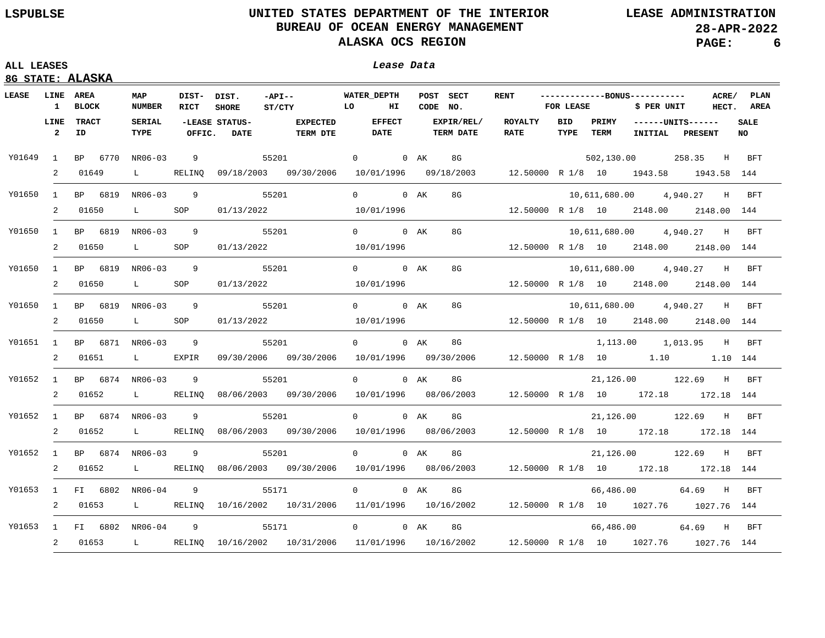## **ALL LEASES Lease Data**

| LEASE  | <b>LINE AREA</b><br>1  | <b>BLOCK</b>             | MAP<br><b>NUMBER</b>          | DIST- DIST.<br>RICT | <b>SHORE</b>                  | $-API --$<br>$\overline{L}$<br>ST/CTY                                                              |                   | <b>WATER DEPTH</b><br>POST SECT<br>ΗТ<br>CODE NO. |        | <b>RENT</b>                           | -------------BONUS-----------<br>FOR LEASE |             |               | ACRE/ PLAN<br>HECT. AREA<br>\$ PER UNIT |                                       |                   |
|--------|------------------------|--------------------------|-------------------------------|---------------------|-------------------------------|----------------------------------------------------------------------------------------------------|-------------------|---------------------------------------------------|--------|---------------------------------------|--------------------------------------------|-------------|---------------|-----------------------------------------|---------------------------------------|-------------------|
|        | LINE<br>$\overline{2}$ | <b>TRACT</b><br>ID       | <b>SERIAL</b><br>TYPE         | OFFIC.              | -LEASE STATUS-<br><b>DATE</b> | <b>EXPECTED</b><br>TERM DTE                                                                        |                   | <b>EFFECT</b><br>DATE                             |        | <b>EXPIR/REL/</b><br><b>TERM DATE</b> | <b>ROYALTY</b><br><b>RATE</b>              | BID<br>TYPE | PRIMY<br>TERM |                                         | ------UNITS------<br>INITIAL PRESENT  | <b>SALE</b><br>NO |
| Y01649 | $\mathbf{1}$           | BP 6770 NR06-03          |                               | 9                   |                               | 55201                                                                                              |                   | 0 0 AK                                            |        | 8G                                    |                                            |             |               |                                         | 502,130.00 258.35 H BFT               |                   |
|        | 2                      | 01649                    | $\mathbf{L}$ and $\mathbf{L}$ |                     |                               | RELINQ 09/18/2003 09/30/2006 10/01/1996 09/18/2003                                                 |                   |                                                   |        |                                       | 12.50000 R 1/8 10 1943.58 1943.58 144      |             |               |                                         |                                       |                   |
| Y01650 | $\mathbf{1}$           | BP 6819 NR06-03          |                               | 9                   |                               | 55201                                                                                              |                   | 0 0 AK                                            |        | 8G                                    |                                            |             |               |                                         | 10,611,680.00  4,940.27  H BFT        |                   |
|        | 2                      | 01650                    | $\mathbf{L}$ and $\mathbf{L}$ | SOP                 |                               | 01/13/2022 10/01/1996                                                                              |                   |                                                   |        |                                       | $12.50000 \R 1/8 10 2148.00 2148.00 144$   |             |               |                                         |                                       |                   |
| Y01650 | 1                      | BP 6819 NR06-03 9        |                               |                     | 55201                         |                                                                                                    |                   | 0 0 AK                                            |        | 8G                                    |                                            |             |               |                                         | 10,611,680.00  4,940.27 H             | BFT               |
|        | 2                      | 01650                    | $\mathbf{L}$ and $\mathbf{L}$ | SOP                 |                               | 01/13/2022                                                                                         |                   | 10/01/1996                                        |        |                                       |                                            |             |               |                                         | 12.50000 R 1/8 10 2148.00 2148.00 144 |                   |
| Y01650 |                        | 1 BP 6819 NR06-03 9      |                               |                     |                               | 55201                                                                                              |                   | 0 0 AK                                            |        | 8G                                    |                                            |             |               |                                         | 10,611,680.00  4,940.27  H            | BFT               |
|        | 2                      | 01650                    | $\mathbf{L}$ and $\mathbf{L}$ | SOP                 |                               | 01/13/2022                                                                                         |                   | 10/01/1996                                        |        |                                       |                                            |             |               |                                         | 12.50000 R 1/8 10 2148.00 2148.00 144 |                   |
| Y01650 |                        | 1 BP 6819 NR06-03 9      |                               |                     |                               | 55201                                                                                              |                   | 0 0 AK                                            |        | 8G                                    |                                            |             |               |                                         | 10,611,680.00  4,940.27  H            | BFT               |
|        |                        | 2 01650                  | $\mathbf{L}$ and $\mathbf{L}$ | SOP                 |                               | 01/13/2022                                                                                         |                   | 10/01/1996                                        |        |                                       |                                            |             |               |                                         | 12.50000 R 1/8 10 2148.00 2148.00 144 |                   |
|        |                        | Y01651 1 BP 6871 NR06-03 |                               | 9                   |                               | 55201                                                                                              |                   | $0$ 0 AK                                          |        | 8G                                    |                                            |             |               |                                         | 1,113.00 1,013.95 H                   | BFT               |
|        |                        | 2 01651                  | $\mathbf{L}$ and $\mathbf{L}$ | EXPIR               |                               | 09/30/2006 09/30/2006                                                                              |                   | 10/01/1996  09/30/2006                            |        |                                       |                                            |             |               |                                         | 12.50000 R 1/8 10 1.10 1.10 144       |                   |
|        |                        | Y01652 1 BP 6874 NR06-03 |                               | 9                   |                               | 55201                                                                                              |                   | $\overline{0}$                                    | 0 AK   | 8G                                    |                                            |             |               |                                         | 21,126.00 122.69 H                    | <b>BFT</b>        |
|        | $\overline{2}$         | 01652                    |                               |                     |                               | L RELINQ 08/06/2003 09/30/2006 10/01/1996 08/06/2003                                               |                   |                                                   |        |                                       |                                            |             |               |                                         | 12.50000 R 1/8 10 172.18 172.18 144   |                   |
| Y01652 | 1                      | BP 6874 NR06-03          |                               | 9                   |                               | 55201                                                                                              |                   | $0 \qquad \qquad$                                 | 0 AK   | 8G                                    |                                            |             |               |                                         | 21,126.00 122.69 H                    | BFT               |
|        | 2                      | 01652                    | L RELINQ                      |                     |                               | 08/06/2003 09/30/2006 10/01/1996 08/06/2003                                                        |                   |                                                   |        |                                       |                                            |             |               |                                         | 12.50000 R 1/8 10 172.18 172.18 144   |                   |
| Y01652 | 1                      | BP 6874 NR06-03          |                               | 9                   |                               | 55201                                                                                              | $0 \qquad \qquad$ |                                                   | $0$ AK | 8G                                    |                                            |             |               |                                         | 21,126.00 122.69 H                    | BFT               |
|        | 2                      | 01652                    |                               |                     |                               | L RELINQ 08/06/2003 09/30/2006 10/01/1996 08/06/2003 12.50000 R 1/8 10 172.18 172.18 144           |                   |                                                   |        |                                       |                                            |             |               |                                         |                                       |                   |
| Y01653 |                        | 1 FI 6802 NR06-04        |                               | -9                  |                               | 55171                                                                                              |                   | $\overline{0}$                                    | $0$ AK | 8G                                    |                                            |             |               | 66,486.00                               | 64.69 H                               | BFT               |
|        |                        | 2 01653                  |                               |                     |                               | L RELINQ 10/16/2002 10/31/2006 11/01/1996 10/16/2002 12.50000 R 1/8 10 1027.76 1027.76 144         |                   |                                                   |        |                                       |                                            |             |               |                                         |                                       |                   |
| Y01653 |                        | 1 FI 6802 NR06-04 9      |                               |                     |                               | 55171                                                                                              | $0 \qquad \qquad$ |                                                   | $0$ AK | 8G                                    |                                            |             |               |                                         | 66,486.00 64.69 H                     | BFT               |
|        |                        |                          |                               |                     |                               | 2 01653 L RELINQ 10/16/2002 10/31/2006 11/01/1996 10/16/2002 12.50000 R 1/8 10 1027.76 1027.76 144 |                   |                                                   |        |                                       |                                            |             |               |                                         |                                       |                   |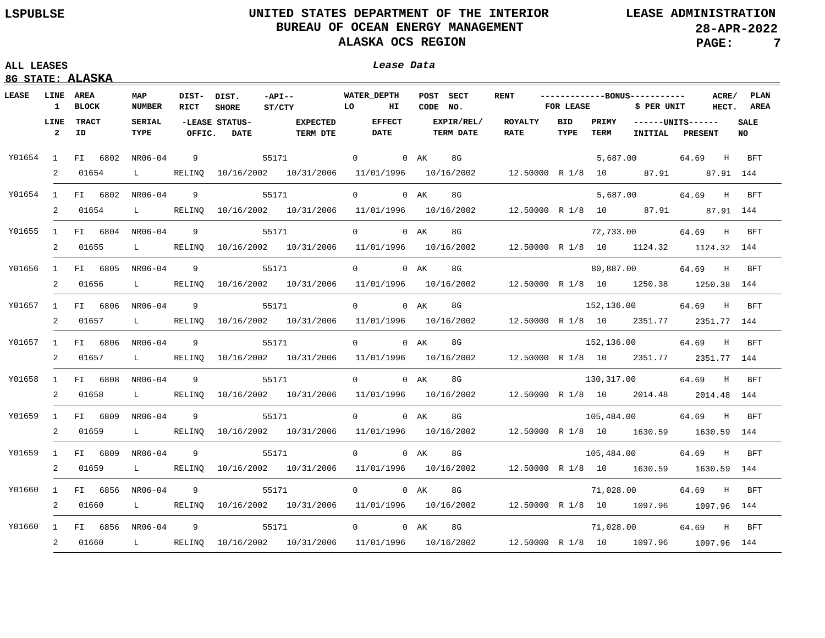|  | 8G STATE: ALASKA |
|--|------------------|

|          |                        | <b>LINE AREA</b>         | MAP                           |                | DIST- DIST.                   | $-API --$                                                                                           | <b>WATER DEPTH</b> |               |          | POST SECT                      | <b>RENT</b>                                                                 |                    |               | -------------BONUS-----------        |             | ACRE/       | <b>PLAN</b>        |
|----------|------------------------|--------------------------|-------------------------------|----------------|-------------------------------|-----------------------------------------------------------------------------------------------------|--------------------|---------------|----------|--------------------------------|-----------------------------------------------------------------------------|--------------------|---------------|--------------------------------------|-------------|-------------|--------------------|
|          | $\mathbf{1}$           | <b>BLOCK</b>             | <b>NUMBER</b>                 | RICT           | <b>SHORE</b>                  | $\overline{L}$<br>ST/CTY                                                                            |                    | HI            | CODE NO. |                                |                                                                             | FOR LEASE          |               | \$ PER UNIT                          |             |             | HECT. AREA         |
|          | LINE<br>$\overline{a}$ | <b>TRACT</b><br>ID       | <b>SERIAL</b><br>TYPE         | OFFIC.         | -LEASE STATUS-<br><b>DATE</b> | <b>EXPECTED</b><br><b>TERM DTE</b>                                                                  | <b>DATE</b>        | <b>EFFECT</b> |          | EXPIR/REL/<br><b>TERM DATE</b> | <b>ROYALTY</b><br><b>RATE</b>                                               | <b>BID</b><br>TYPE | PRIMY<br>TERM | ------UNITS------<br>INITIAL PRESENT |             |             | <b>SALE</b><br>NO. |
|          |                        |                          |                               |                |                               |                                                                                                     |                    |               |          |                                |                                                                             |                    |               |                                      |             |             |                    |
| Y01654 1 |                        | FI 6802 NR06-04          |                               | 9              | 55171                         |                                                                                                     | 0 0 AK             |               |          | 8G                             |                                                                             |                    |               | 5,687,00                             | 64.69 H BFT |             |                    |
|          | 2                      | 01654                    | $\mathbf{L}$ and $\mathbf{L}$ |                |                               | RELINQ 10/16/2002 10/31/2006 11/01/1996 10/16/2002 12.50000 R 1/8 10 87.91 87.91 144                |                    |               |          |                                |                                                                             |                    |               |                                      |             |             |                    |
|          |                        | Y01654 1 FI 6802 NR06-04 |                               | 9              |                               | 55171                                                                                               | $\Omega$           |               | $0$ AK   | 8G                             |                                                                             |                    |               | 5,687.00                             | 64.69       | $H$ and $H$ | BFT                |
|          | 2                      | 01654                    | $\mathbf{L}$ and $\mathbf{L}$ |                |                               | RELINQ 10/16/2002 10/31/2006 11/01/1996 10/16/2002 12.50000 R 1/8 10 87.91 87.91 144                |                    |               |          |                                |                                                                             |                    |               |                                      |             |             |                    |
|          |                        | Y01655 1 FI 6804 NR06-04 |                               | - 9            |                               | 55171                                                                                               | $\Omega$           |               | $0$ AK   | 8G                             |                                                                             |                    |               | 72,733.00                            | 64.69 H     |             | BFT                |
|          |                        | 2 01655                  | $\mathbf{L}$ and $\mathbf{L}$ | RELINO         |                               | 10/16/2002 10/31/2006 11/01/1996 10/16/2002 12.50000 R 1/8 10 1124.32 1124.32 144                   |                    |               |          |                                |                                                                             |                    |               |                                      |             |             |                    |
|          |                        | Y01656 1 FI 6805 NR06-04 |                               | 9              |                               | 55171                                                                                               | $\Omega$           |               | 0 AK     | 8G                             |                                                                             |                    |               | 80,887.00                            | 64.69 H     |             | BFT                |
|          | 2                      | 01656                    | $\mathbf{L}$ and $\mathbf{L}$ | RELINO         |                               | 10/16/2002 10/31/2006 11/01/1996 10/16/2002                                                         |                    |               |          |                                | 12.50000 R 1/8 10 1250.38 1250.38 144                                       |                    |               |                                      |             |             |                    |
|          |                        | Y01657 1 FI 6806         | NR06-04                       | -9             |                               | 55171                                                                                               | $\Omega$           |               | 0 AK     | 8G                             |                                                                             |                    |               | 152,136.00                           | 64.69       | H           | BFT                |
|          | 2                      | 01657                    | $\mathbf{L}$ and $\mathbf{L}$ | RELINO         |                               | $10/16/2002$ $10/31/2006$ $11/01/1996$ $10/16/2002$ $12.50000$ R $1/8$ 10 $2351.77$ $2351.77$ $144$ |                    |               |          |                                |                                                                             |                    |               |                                      |             |             |                    |
|          |                        | Y01657 1 FI 6806 NR06-04 |                               | - 9            |                               | 55171                                                                                               | $\Omega$           |               | $0$ AK   | 8G                             |                                                                             |                    |               | 152,136.00                           | 64.69 H     |             | BFT                |
|          | 2                      | 01657                    | $\mathbf{L}$ and $\mathbf{L}$ |                |                               | RELINQ 10/16/2002 10/31/2006 11/01/1996 10/16/2002 12.50000 R 1/8 10 2351.77 2351.77 144            |                    |               |          |                                |                                                                             |                    |               |                                      |             |             |                    |
|          |                        | Y01658 1 FI 6808 NR06-04 |                               | 9              |                               | 55171                                                                                               | $\Omega$           |               | $0$ AK   | 8G                             |                                                                             |                    |               | 130,317.00                           | 64.69 H     |             | BFT                |
|          | 2                      | 01658                    | $\mathbf{L}$ and $\mathbf{L}$ |                |                               | RELINQ 10/16/2002 10/31/2006 11/01/1996 10/16/2002 12.50000 R 1/8 10 2014.48 2014.48 144            |                    |               |          |                                |                                                                             |                    |               |                                      |             |             |                    |
| Y01659   |                        | 1 FI 6809 NR06-04        |                               | 9              |                               | 55171                                                                                               | $\Omega$           |               | 0 AK     | 8G                             |                                                                             |                    |               | 105,484.00                           | 64.69 H     |             | BFT                |
|          | 2                      | 01659                    | $\mathbf{L}$ and $\mathbf{L}$ |                |                               | RELINQ 10/16/2002 10/31/2006                                                                        |                    |               |          |                                | $11/01/1996$ $10/16/2002$ $12.50000$ R $1/8$ $10$ $1630.59$ $1630.59$ $144$ |                    |               |                                      |             |             |                    |
| Y01659   |                        | 1 FI 6809 NR06-04        |                               | 9              |                               | 55171                                                                                               | $\Omega$           |               | 0 AK     | 8G                             |                                                                             |                    |               | 105,484.00                           | 64.69       | $_{\rm H}$  | <b>BFT</b>         |
|          | 2                      | 01659                    | $\mathbf{L}$                  | RELINO         |                               | 10/16/2002  10/31/2006                                                                              |                    |               |          |                                | 11/01/1996  10/16/2002  12.50000  R  1/8  10  1630.59  1630.59  144         |                    |               |                                      |             |             |                    |
| Y01660   |                        | 1 FI 6856 NR06-04        |                               | $\overline{9}$ | 55171                         |                                                                                                     | $\overline{0}$     |               | 0 AK     | 8G                             |                                                                             |                    |               | 71,028.00                            | 64.69 H     |             | BFT                |
|          | 2                      | 01660                    | $\mathbf{L}$ and $\mathbf{L}$ | RELINO         |                               | 10/16/2002 10/31/2006 11/01/1996 10/16/2002 12.50000 R 1/8 10 1097.96 1097.96 144                   |                    |               |          |                                |                                                                             |                    |               |                                      |             |             |                    |
| Y01660   | 1                      | FI 6856 NR06-04          |                               | - 9            | 55171                         |                                                                                                     | $0 \qquad \qquad$  |               | 0 AK     | 8G                             |                                                                             |                    |               | 71,028.00                            | 64.69 H     |             | BFT                |
|          | 2                      | 01660                    |                               |                |                               | L RELINQ 10/16/2002 10/31/2006 11/01/1996 10/16/2002 12.50000 R 1/8 10 1097.96 1097.96 144          |                    |               |          |                                |                                                                             |                    |               |                                      |             |             |                    |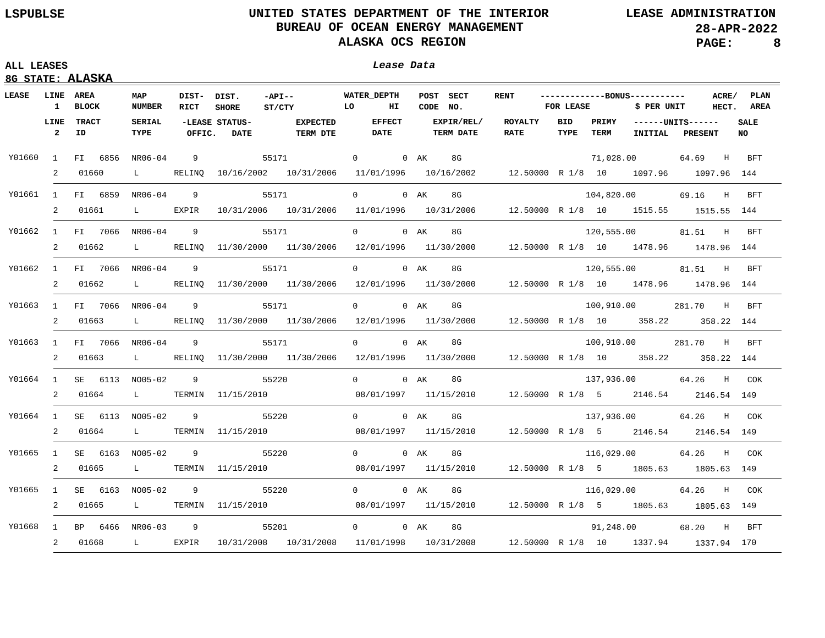# **LSPUBLSE UNITED STATES DEPARTMENT OF THE INTERIOR LEASE ADMINISTRATION**  BUREAU OF OCEAN ENERGY MANAGEMENT **28-APR-2022**<br>ALASKA OCS REGION **28-APR-2022 ALASKA OCS REGION**

| ------------ |  |  |  |
|--------------|--|--|--|
|              |  |  |  |
|              |  |  |  |
|              |  |  |  |

|                 |                        | 8G STATE: ALASKA         |                               |                     |                               |                                    |                                                                                                       |          |                                |                                                            |                    |               |                                              |                         |                    |
|-----------------|------------------------|--------------------------|-------------------------------|---------------------|-------------------------------|------------------------------------|-------------------------------------------------------------------------------------------------------|----------|--------------------------------|------------------------------------------------------------|--------------------|---------------|----------------------------------------------|-------------------------|--------------------|
| LEASE LINE AREA |                        | 1 BLOCK                  | MAP<br><b>NUMBER</b>          | DIST- DIST.<br>RICT | <b>SHORE</b>                  | $-API --$<br><b>TO</b><br>ST/CTY   | <b>WATER DEPTH</b><br>$H_{\rm{I}}$                                                                    | CODE NO. | POST SECT                      | <b>RENT</b>                                                | FOR LEASE          |               | -------------BONUS-----------<br>\$ PER UNIT | ACRE/                   | PLAN<br>HECT. AREA |
|                 | LINE<br>$\overline{2}$ | TRACT<br>ID              | <b>SERIAL</b><br>TYPE         | OFFIC.              | -LEASE STATUS-<br><b>DATE</b> | <b>EXPECTED</b><br><b>TERM DTE</b> | <b>EFFECT</b><br><b>DATE</b>                                                                          |          | EXPIR/REL/<br><b>TERM DATE</b> | ROYALTY<br><b>RATE</b>                                     | <b>BID</b><br>TYPE | PRIMY<br>TERM | ------UNITS------                            | INITIAL PRESENT         | <b>SALE</b><br>NO. |
| Y01660          |                        | 1 FI 6856                | NR06-04                       | 9                   | 55171                         |                                    | 0 0 AK                                                                                                |          | 8G                             |                                                            |                    |               | 71,028.00                                    | 64.69 H BFT             |                    |
|                 | 2                      | 01660                    | $L$ and $L$                   |                     |                               |                                    | RELINQ 10/16/2002 10/31/2006 11/01/1996 10/16/2002 12.50000 R 1/8 10 1097.96 1097.96 144              |          |                                |                                                            |                    |               |                                              |                         |                    |
| Y01661          |                        | 1 FI 6859                | NR06-04                       | 9                   |                               | 55171                              | 0 0 AK                                                                                                |          | 8G                             |                                                            |                    |               |                                              | 104,820.00 69.16 H BFT  |                    |
|                 | 2                      | 01661                    | $\mathbf{L}$ and $\mathbf{L}$ | EXPIR               |                               |                                    | $10/31/2006$ $10/31/2006$ $11/01/1996$ $10/31/2006$ $12.50000$ R $1/8$ $10$ $1515.55$ $1515.55$ $144$ |          |                                |                                                            |                    |               |                                              |                         |                    |
| Y01662          |                        | 1 FI 7066 NR06-04        |                               | 9                   |                               | 55171                              | $0$ 0 AK                                                                                              |          | 8G and the set of $\sim$       |                                                            |                    |               | 120,555.00                                   | 81.51 H                 | <b>BFT</b>         |
|                 |                        | 2 01662                  | $\mathbf{L}$ and $\mathbf{L}$ |                     |                               |                                    | RELINQ 11/30/2000 11/30/2006 12/01/1996 11/30/2000 12.50000 R 1/8 10 1478.96 1478.96 144              |          |                                |                                                            |                    |               |                                              |                         |                    |
| Y01662          |                        | 1 FI 7066 NR06-04        |                               | 9                   | 55171                         |                                    | 0 0 AK                                                                                                |          | 8G                             |                                                            |                    |               | 120,555.00                                   | 81.51 H BFT             |                    |
|                 | 2                      | 01662                    | $L$ and $L$                   |                     |                               | RELINQ 11/30/2000 11/30/2006       | 12/01/1996 11/30/2000 12.50000 R 1/8 10 1478.96 1478.96 144                                           |          |                                |                                                            |                    |               |                                              |                         |                    |
| Y01663          |                        | 1 FI 7066 NR06-04        |                               | $\overline{9}$      | 55171                         |                                    | 0 0 AK 8G                                                                                             |          |                                |                                                            |                    |               |                                              | 100,910.00 281.70 H     | <b>BFT</b>         |
|                 | 2                      | 01663                    | $\mathbf{L}$ and $\mathbf{L}$ |                     |                               | RELINQ 11/30/2000 11/30/2006       | 12/01/1996 11/30/2000 12.50000 R 1/8 10 358.22 358.22 144                                             |          |                                |                                                            |                    |               |                                              |                         |                    |
| Y01663          |                        | 1 FI 7066 NR06-04        |                               | $\overline{9}$      | 55171                         |                                    | 0 0 AK                                                                                                |          | 8G                             |                                                            |                    |               |                                              | 100,910.00 281.70 H BFT |                    |
|                 |                        | 2 01663                  |                               |                     |                               | L RELINO 11/30/2000 11/30/2006     | $12/01/1996$ $11/30/2000$ $12.50000$ R $1/8$ 10 $358.22$ 358.22 144                                   |          |                                |                                                            |                    |               |                                              |                         |                    |
| Y01664          |                        | 1 SE 6113 NO05-02        |                               | 9                   | 55220                         |                                    | 0 0 AK                                                                                                |          | 8G                             |                                                            |                    |               |                                              | 137,936.00 64.26 H COK  |                    |
|                 |                        | 2 01664                  | $\mathbf{L}$ and $\mathbf{L}$ |                     |                               | TERMIN 11/15/2010                  |                                                                                                       |          |                                | 08/01/1997 11/15/2010 12.50000 R 1/8 5 2146.54 2146.54 149 |                    |               |                                              |                         |                    |
|                 |                        | Y01664 1 SE 6113 NO05-02 |                               | 9                   |                               | 55220                              | 0 0 AK 8G                                                                                             |          |                                |                                                            |                    |               |                                              | 137,936.00 64.26 H COK  |                    |
|                 |                        | 2 01664                  | $\mathbf{L}$ and $\mathbf{L}$ | TERMIN              |                               | 11/15/2010                         |                                                                                                       |          |                                | 12.50000 R 1/8 5 2146.54 2146.54 149                       |                    |               |                                              |                         |                    |
| Y01665          |                        | 1 SE 6163 NO05-02        |                               | 9                   |                               | 55220                              | 0 0 AK 8G                                                                                             |          |                                |                                                            |                    |               | 116,029.00                                   | 64.26 H COK             |                    |
|                 |                        | 2 01665                  | $\mathbf{L}$ and $\mathbf{L}$ |                     | TERMIN 11/15/2010             |                                    |                                                                                                       |          |                                | 08/01/1997 11/15/2010 12.50000 R 1/8 5 1805.63 1805.63 149 |                    |               |                                              |                         |                    |
| Y01665          |                        | 1 SE 6163 NO05-02        |                               | 9                   |                               | 55220                              | 0 0 AK 8G                                                                                             |          |                                |                                                            |                    |               | 116,029.00                                   | 64.26 H COK             |                    |
|                 |                        | 2 01665                  | $\mathbf{L}$ and $\mathbf{L}$ |                     |                               | TERMIN 11/15/2010                  |                                                                                                       |          |                                | 08/01/1997 11/15/2010 12.50000 R 1/8 5 1805.63 1805.63 149 |                    |               |                                              |                         |                    |
| Y01668          |                        | 1 BP 6466 NR06-03        |                               | $\overline{9}$      |                               | 55201                              | 0 0 AK 8G                                                                                             |          |                                |                                                            |                    |               | 91,248.00                                    | 68.20 H BFT             |                    |
|                 |                        | 2 01668                  | $\mathbf{L}$ and $\mathbf{L}$ | EXPIR               |                               | 10/31/2008 10/31/2008              | 11/01/1998 10/31/2008 12.50000 R 1/8 10 1337.94 1337.94 170                                           |          |                                |                                                            |                    |               |                                              |                         |                    |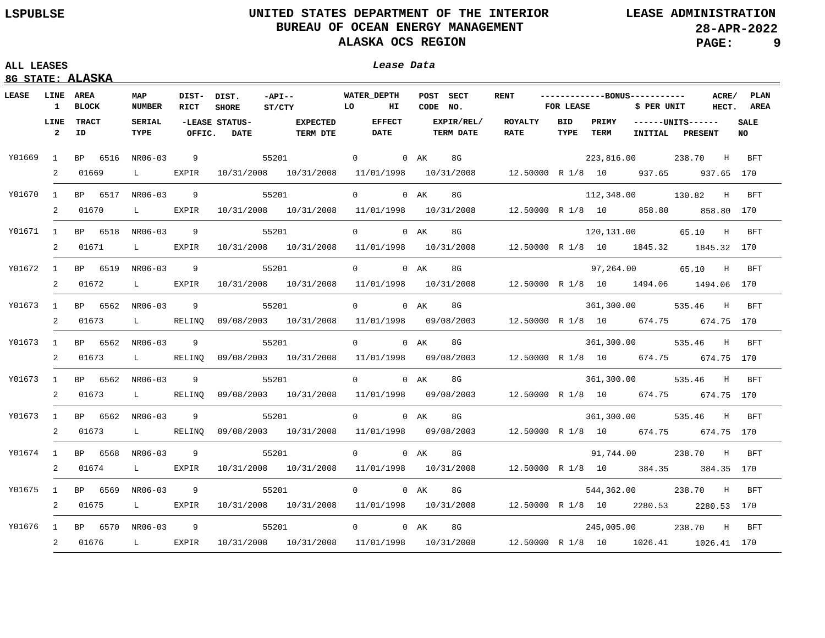|  | 8G STATE: ALASKA |
|--|------------------|
|  |                  |

| LEASE    | LINE AREA<br>$\mathbf{1}$ | <b>BLOCK</b>             | MAP<br><b>NUMBER</b>          | DIST- DIST.<br>RICT | <b>SHORE</b>                  | $-API --$<br><b>TO</b><br>ST/CTY                                                                  | <b>WATER DEPTH</b><br>$H_{\rm I}$ | POST SECT<br>CODE NO.          | <b>RENT</b>                                                                                                    | <b>FOR LEASE</b>   |      | -------------BONUS-----------<br>\$ PER UNIT |                                            | ACRE/ PLAN<br>HECT. AREA |
|----------|---------------------------|--------------------------|-------------------------------|---------------------|-------------------------------|---------------------------------------------------------------------------------------------------|-----------------------------------|--------------------------------|----------------------------------------------------------------------------------------------------------------|--------------------|------|----------------------------------------------|--------------------------------------------|--------------------------|
|          | LINE<br>$\overline{2}$    | <b>TRACT</b><br>ID       | <b>SERIAL</b><br>TYPE         | OFFIC.              | -LEASE STATUS-<br><b>DATE</b> | <b>EXPECTED</b><br><b>TERM DTE</b>                                                                | <b>EFFECT</b><br><b>DATE</b>      | EXPIR/REL/<br><b>TERM DATE</b> | ROYALTY<br>RATE                                                                                                | <b>BID</b><br>TYPE | TERM |                                              | PRIMY ------UNITS------<br>INITIAL PRESENT | <b>SALE</b><br>NO.       |
| Y01669 1 |                           | BP 6516 NR06-03          |                               | $\overline{9}$      |                               | 55201 0 0 AK                                                                                      |                                   |                                | 8G and the state of the state of the state of the state of the state of the state of the state of the state of |                    |      |                                              | 223,816.00 238.70 H BFT                    |                          |
|          | 2                         | 01669                    | $\mathbf{L}$ and $\mathbf{L}$ | EXPIR               |                               | 10/31/2008 10/31/2008 11/01/1998 10/31/2008 12.50000 R 1/8 10 937.65 937.65 170                   |                                   |                                |                                                                                                                |                    |      |                                              |                                            |                          |
| Y01670 1 |                           | BP 6517 NR06-03          |                               | 9                   | 55201                         |                                                                                                   | 0 0 AK                            | 8G                             |                                                                                                                |                    |      | 112,348.00 130.82                            |                                            | H BFT                    |
|          | 2                         | 01670                    | $\mathbf{L}$ and $\mathbf{L}$ | EXPIR               |                               | $10/31/2008$ $10/31/2008$ $11/01/1998$ $10/31/2008$ $12.50000$ R $1/8$ 10 $858.80$ $858.80$ $170$ |                                   |                                |                                                                                                                |                    |      |                                              |                                            |                          |
| Y01671 1 |                           | BP 6518 NR06-03          |                               | 9                   | 55201                         |                                                                                                   | 0 0 AK                            | 8G                             |                                                                                                                |                    |      |                                              | 120,131.00 65.10 H                         | BFT                      |
|          | 2                         | 01671                    | $\mathbf{L}$ and $\mathbf{L}$ | EXPIR               |                               | 10/31/2008 10/31/2008 11/01/1998 10/31/2008 12.50000 R 1/8 10 1845.32 1845.32 170                 |                                   |                                |                                                                                                                |                    |      |                                              |                                            |                          |
| Y01672 1 |                           | BP 6519 NR06-03          |                               | $\overline{9}$      |                               | 55201 200                                                                                         | 0 0 AK                            | 8G                             |                                                                                                                |                    |      | 97,264.00                                    | 65.10 H BFT                                |                          |
|          |                           | 2 01672                  | $\mathbf{L}$ and $\mathbf{L}$ | EXPIR               |                               | 10/31/2008 10/31/2008 11/01/1998 10/31/2008 12.50000 R 1/8 10 1494.06 1494.06 170                 |                                   |                                |                                                                                                                |                    |      |                                              |                                            |                          |
|          |                           | Y01673 1 BP 6562 NR06-03 |                               | -9                  |                               | 55201                                                                                             | $\Omega$                          | $0$ AK<br>8G                   |                                                                                                                |                    |      |                                              | 361,300.00 535.46 H                        | <b>BFT</b>               |
|          | 2                         | 01673                    | L RELINQ                      |                     |                               | 09/08/2003 10/31/2008 11/01/1998 09/08/2003 12.50000 R 1/8 10 674.75 674.75 170                   |                                   |                                |                                                                                                                |                    |      |                                              |                                            |                          |
| Y01673 1 |                           | BP 6562 NR06-03          |                               | -9                  |                               | 55201                                                                                             | 0 0 AK                            | 8G                             |                                                                                                                |                    |      | 361,300.00                                   | 535.46<br>H                                | BFT                      |
|          | 2                         | 01673                    | L RELINO                      |                     |                               | 09/08/2003 10/31/2008 11/01/1998 09/08/2003 12.50000 R 1/8 10 674.75 674.75 170                   |                                   |                                |                                                                                                                |                    |      |                                              |                                            |                          |
| Y01673 1 |                           | BP 6562 NR06-03          |                               | 9                   |                               | 55201                                                                                             | 0 0 AK                            | 8G                             |                                                                                                                |                    |      | 361,300.00                                   | 535.46 H                                   | BFT                      |
|          | 2                         | 01673                    | $\mathbf{L}$ and $\mathbf{L}$ | RELINO              |                               | 09/08/2003 10/31/2008 11/01/1998 09/08/2003 12.50000 R 1/8 10 674.75 674.75 170                   |                                   |                                |                                                                                                                |                    |      |                                              |                                            |                          |
| Y01673 1 |                           | BP 6562 NR06-03          |                               | 9                   |                               | 55201                                                                                             | 0 0 AK                            | 8G                             |                                                                                                                |                    |      |                                              | 361,300.00 535.46 H BFT                    |                          |
|          | 2                         | 01673                    | $\mathbf{L}$ and $\mathbf{L}$ | RELINO              |                               | 09/08/2003 10/31/2008 11/01/1998 09/08/2003 12.50000 R 1/8 10 674.75 674.75 170                   |                                   |                                |                                                                                                                |                    |      |                                              |                                            |                          |
| Y01674 1 |                           | BP 6568 NR06-03          |                               | 9                   | 55201                         |                                                                                                   | 0 0 AK                            | 8G                             |                                                                                                                |                    |      |                                              | 91,744.00 238.70 H                         | <b>BFT</b>               |
|          | 2                         | 01674                    | $\mathbf{L}$ and $\mathbf{L}$ | EXPIR               |                               | 10/31/2008 10/31/2008 11/01/1998 10/31/2008 12.50000 R 1/8 10 384.35 384.35 170                   |                                   |                                |                                                                                                                |                    |      |                                              |                                            |                          |
| Y01675 1 |                           | BP 6569 NR06-03          |                               | -9                  | 55201                         |                                                                                                   | 0 0 AK                            | 8G                             |                                                                                                                |                    |      |                                              | 544,362.00 238.70 H                        | <b>BFT</b>               |
|          | 2                         | 01675                    | $\mathbf{L}$ and $\mathbf{L}$ | EXPIR               |                               | 10/31/2008 10/31/2008 11/01/1998 10/31/2008 12.50000 R 1/8 10 2280.53 2280.53 170                 |                                   |                                |                                                                                                                |                    |      |                                              |                                            |                          |
| Y01676 1 |                           | BP 6570 NR06-03 9        |                               |                     |                               | 55201 0 0 AK                                                                                      |                                   | 8G and the set of $\sim$       |                                                                                                                |                    |      |                                              | 245,005.00 238.70 H BFT                    |                          |
|          | $\overline{2}$            | 01676                    | L EXPIR                       |                     |                               | 10/31/2008 10/31/2008 11/01/1998 10/31/2008 12.50000 R 1/8 10 1026.41 1026.41 170                 |                                   |                                |                                                                                                                |                    |      |                                              |                                            |                          |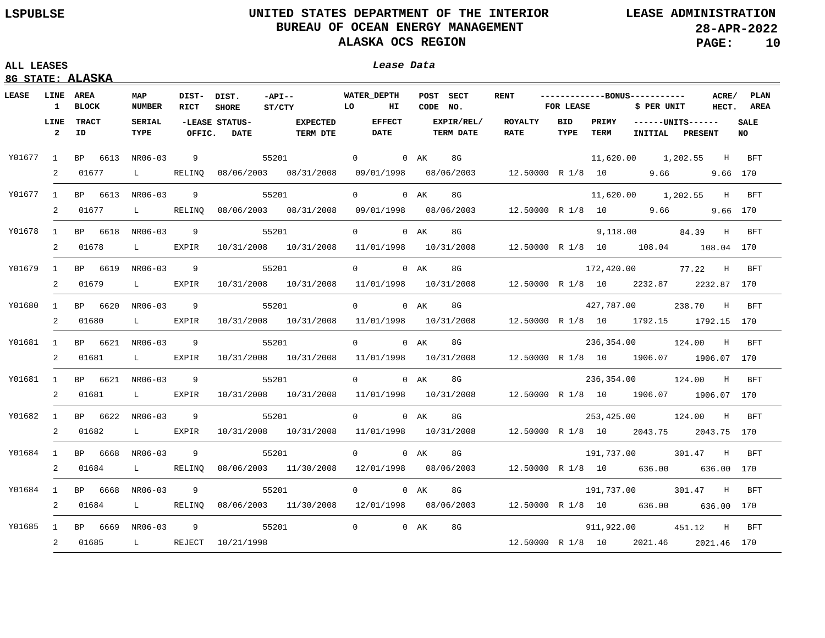| LEASE LINE AREA |                |                          | MAP                           | DIST- DIST.    |                               | $-API --$                                                                              | <b>WATER DEPTH</b>           | POST SECT                                                                                                                                                                                                                                   | <b>RENT</b>              |                    |               | -------------BONUS----------- |                                       | ACRE/<br><b>PLAN</b> |
|-----------------|----------------|--------------------------|-------------------------------|----------------|-------------------------------|----------------------------------------------------------------------------------------|------------------------------|---------------------------------------------------------------------------------------------------------------------------------------------------------------------------------------------------------------------------------------------|--------------------------|--------------------|---------------|-------------------------------|---------------------------------------|----------------------|
|                 |                | 1 BLOCK                  | <b>NUMBER</b>                 | <b>RICT</b>    | <b>SHORE</b>                  | ST/CTY LO                                                                              | НΙ                           | CODE NO.                                                                                                                                                                                                                                    |                          | FOR LEASE          |               | \$ PER UNIT                   |                                       | AREA<br>HECT.        |
|                 | $\overline{2}$ | LINE TRACT<br>ID         | <b>SERIAL</b><br>TYPE         | OFFIC.         | -LEASE STATUS-<br><b>DATE</b> | <b>EXPECTED</b><br>TERM DTE                                                            | <b>EFFECT</b><br><b>DATE</b> | EXPIR/REL/<br><b>TERM DATE</b>                                                                                                                                                                                                              | ROYALTY<br><b>RATE</b>   | <b>BID</b><br>TYPE | PRIMY<br>TERM |                               | $---UNITS---$<br>INITIAL PRESENT      | SALE<br><b>NO</b>    |
| Y01677 1        |                | BP 6613 NR06-03          |                               | 9              |                               | 55201 200                                                                              | $0$ 0 AK                     | 8G and the set of $\sim$                                                                                                                                                                                                                    |                          |                    |               |                               | 11,620.00  1,202.55  H BFT            |                      |
|                 | 2              | 01677                    | $\mathbf{L}$ and $\mathbf{L}$ |                |                               | RELINQ 08/06/2003 08/31/2008 09/01/1998 08/06/2003 12.50000 R 1/8 10 9.66 9.66 170     |                              |                                                                                                                                                                                                                                             |                          |                    |               |                               |                                       |                      |
|                 |                | Y01677 1 BP 6613 NR06-03 |                               | 9              | 55201                         |                                                                                        | 0 0 AK                       | 8G                                                                                                                                                                                                                                          |                          |                    |               |                               | 11,620.00  1,202.55  H BFT            |                      |
|                 | $\overline{a}$ | 01677                    | $\mathbf{L}$ and $\mathbf{L}$ |                |                               | RELINQ 08/06/2003 08/31/2008                                                           |                              | 09/01/1998  08/06/2003  12.50000 R  1/8  10  9.66                                                                                                                                                                                           |                          |                    |               |                               |                                       | 9.66 170             |
| Y01678          | $\mathbf{1}$   | BP 6618 NR06-03          |                               | 9              | 55201                         |                                                                                        | 0 0 AK                       | 8G and the set of the set of the set of the set of the set of the set of the set of the set of the set of the<br>Set of the set of the set of the set of the set of the set of the set of the set of the set of the set of the<br>S         |                          |                    |               |                               | 9,118.00 84.39 H BFT                  |                      |
|                 | 2              | 01678                    | $\mathbf{L}$ and $\mathbf{L}$ | EXPIR          |                               | 10/31/2008 10/31/2008                                                                  |                              | $11/01/1998$ $10/31/2008$ $12.50000$ R $1/8$ 10 $108.04$ $108.04$ 170                                                                                                                                                                       |                          |                    |               |                               |                                       |                      |
| Y01679          |                | 1 BP 6619 NR06-03        |                               | $\overline{9}$ |                               | 55201                                                                                  | 0 0 AK                       | 8G                                                                                                                                                                                                                                          |                          |                    |               |                               | 172,420.00 77.22 H BFT                |                      |
|                 | 2              | 01679                    | $\mathbf{L}$                  | EXPIR          |                               | 10/31/2008 10/31/2008                                                                  |                              | $11/01/1998$ $10/31/2008$ $12.50000$ R $1/8$ 10 $2232.87$ $2232.87$ 170                                                                                                                                                                     |                          |                    |               |                               |                                       |                      |
| Y01680          | 1              | BP 6620 NR06-03          |                               | 9              |                               | 55201                                                                                  | $0$ 0 AK                     | 8G                                                                                                                                                                                                                                          |                          |                    |               |                               | 427,787.00 238.70 H BFT               |                      |
|                 | 2              | 01680                    | $\mathbf{L}$ and $\mathbf{L}$ | EXPIR          |                               | 10/31/2008 10/31/2008 11/01/1998 10/31/2008 12.50000 R 1/8 10 1792.15 1792.15 170      |                              |                                                                                                                                                                                                                                             |                          |                    |               |                               |                                       |                      |
| Y01681          | 1              | BP 6621 NR06-03          |                               | 9              |                               | 55201                                                                                  | $0 \qquad \qquad$            | 0 AK<br>8G and the set of the set of the set of the set of the set of the set of the set of the set of the set of the<br>Set of the set of the set of the set of the set of the set of the set of the set of the set of the set of the<br>S |                          |                    |               |                               | 236,354.00 124.00 H BFT               |                      |
|                 | 2              | 01681                    | $\mathbf{L}$ and $\mathbf{L}$ | EXPIR          |                               | 10/31/2008 10/31/2008 11/01/1998 10/31/2008 12.50000 R 1/8 10 1906.07 1906.07 170      |                              |                                                                                                                                                                                                                                             |                          |                    |               |                               |                                       |                      |
| Y01681          | 1              | BP 6621 NR06-03          |                               | -9             | 55201                         |                                                                                        | $\overline{0}$               | 8G and the set of $\sim$<br>$0$ AK                                                                                                                                                                                                          |                          |                    |               |                               | 236,354.00 124.00 H BFT               |                      |
|                 | 2              | 01681 L EXPIR            |                               |                |                               | 10/31/2008  10/31/2008                                                                 |                              | $11/01/1998$ $10/31/2008$ $12.50000$ R $1/8$ 10 $1906.07$ 1906.07 170                                                                                                                                                                       |                          |                    |               |                               |                                       |                      |
| Y01682          | $\mathbf{1}$   | BP 6622 NR06-03          |                               | -9             | 55201                         |                                                                                        | $0 \qquad \qquad$            | 0 AK<br>8G                                                                                                                                                                                                                                  |                          |                    |               |                               |                                       |                      |
|                 |                | 2 01682                  | $\mathbf{L}$ and $\mathbf{L}$ | EXPIR          |                               | 10/31/2008 10/31/2008                                                                  |                              | $11/01/1998$ $10/31/2008$ $12.50000$ R $1/8$ 10 $2043.75$ $2043.75$ 170                                                                                                                                                                     |                          |                    |               |                               |                                       |                      |
| Y01684          |                | 1 BP 6668 NR06-03        |                               | 9              |                               | 55201                                                                                  | 0 0 AK                       | 8G                                                                                                                                                                                                                                          |                          |                    |               |                               | 191,737.00 301.47 H BFT               |                      |
|                 | $\overline{2}$ | 01684                    | $\mathbf{L}$ and $\mathbf{L}$ | RELINO         |                               | 08/06/2003 11/30/2008 12/01/1998 08/06/2003                                            |                              |                                                                                                                                                                                                                                             | 12.50000 R 1/8 10 636.00 |                    |               |                               |                                       | 636.00 170           |
|                 |                | Y01684 1 BP 6668 NR06-03 |                               | 9              | 55201                         |                                                                                        | 0 0 AK                       | 8G                                                                                                                                                                                                                                          |                          |                    |               |                               | 191,737.00 301.47 H                   | BFT                  |
|                 | $\overline{2}$ | 01684                    | $\mathbf{L}$ and $\mathbf{L}$ |                |                               | RELINO 08/06/2003 11/30/2008 12/01/1998 08/06/2003 12.50000 R 1/8 10 636.00 636.00 170 |                              |                                                                                                                                                                                                                                             |                          |                    |               |                               |                                       |                      |
|                 |                | Y01685 1 BP 6669 NR06-03 |                               | 9              | 55201                         |                                                                                        | 0 0 AK                       | 8G                                                                                                                                                                                                                                          |                          |                    |               |                               | 911,922.00 451.12 H BFT               |                      |
|                 |                | 2 01685                  |                               |                | L REJECT 10/21/1998           |                                                                                        |                              |                                                                                                                                                                                                                                             |                          |                    |               |                               | 12.50000 R 1/8 10 2021.46 2021.46 170 |                      |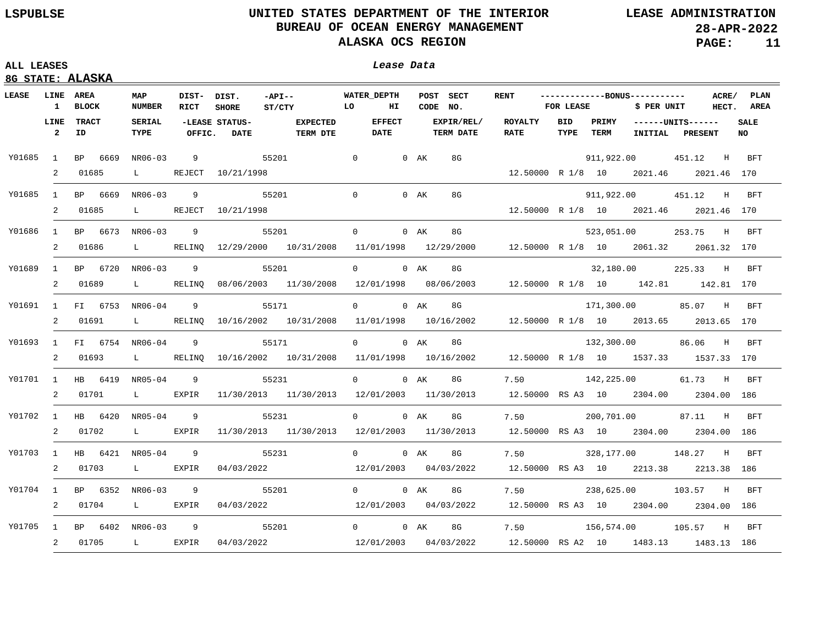## **ALL LEASES Lease Data**

| LEASE    |                      | <u>8G STATE: ALASAA</u><br><b>LINE AREA</b> |                               |                            |                               |                                                                                                  |                |                                 |        |                                |                                                                     |      |                  | -------------BONUS----------- |                                            |       |                    |
|----------|----------------------|---------------------------------------------|-------------------------------|----------------------------|-------------------------------|--------------------------------------------------------------------------------------------------|----------------|---------------------------------|--------|--------------------------------|---------------------------------------------------------------------|------|------------------|-------------------------------|--------------------------------------------|-------|--------------------|
|          |                      | 1 BLOCK                                     | MAP<br><b>NUMBER</b>          | DIST- DIST.<br><b>RICT</b> | <b>SHORE</b>                  | $-API--$<br>ST/CTY                                                                               | LO             | <b>WATER DEPTH</b><br><b>HI</b> |        | POST SECT<br>CODE NO.          | <b>RENT</b>                                                         |      | <b>FOR LEASE</b> | \$ PER UNIT                   |                                            | ACRE/ | PLAN<br>HECT. AREA |
|          | LINE<br>$\mathbf{2}$ | <b>TRACT</b><br>ID                          | <b>SERIAL</b><br>TYPE         | OFFIC.                     | -LEASE STATUS-<br><b>DATE</b> | <b>EXPECTED</b><br>TERM DTE                                                                      |                | <b>EFFECT</b><br><b>DATE</b>    |        | EXPIR/REL/<br><b>TERM DATE</b> | ROYALTY BID<br><b>RATE</b>                                          | TYPE | TERM             |                               | PRIMY ------UNITS------<br>INITIAL PRESENT |       | <b>SALE</b><br>NO  |
| Y01685 1 |                      | BP 6669                                     | NR06-03                       | 9                          | 55201                         |                                                                                                  | $\overline{0}$ |                                 | $0$ AK | 8G                             |                                                                     |      |                  |                               | 911,922.00 451.12 H BFT                    |       |                    |
|          | 2                    | 01685                                       | $\mathbf{L}$ and $\mathbf{L}$ |                            | REJECT 10/21/1998             |                                                                                                  |                |                                 |        |                                | 12.50000 R 1/8 10 2021.46 2021.46 170                               |      |                  |                               |                                            |       |                    |
| Y01685   | $\mathbf{1}$         | BP 6669                                     | NR06-03                       | 9                          | 55201                         |                                                                                                  | $\Omega$       |                                 | $0$ AK | 8G                             |                                                                     |      |                  |                               | 911,922.00  451.12  H BFT                  |       |                    |
|          | 2                    | 01685                                       |                               |                            | L REJECT 10/21/1998           |                                                                                                  |                |                                 |        |                                | 12.50000 R 1/8 10 2021.46 2021.46 170                               |      |                  |                               |                                            |       |                    |
| Y01686   | $\mathbf{1}$         |                                             | BP 6673 NR06-03               | $\overline{9}$             | 55201                         |                                                                                                  |                | $\Omega$ and $\Omega$           | $0$ AK | 8G                             |                                                                     |      |                  |                               | 523,051.00 253.75 H BFT                    |       |                    |
|          | 2                    | 01686                                       |                               |                            |                               | L RELINQ 12/29/2000 10/31/2008 11/01/1998 12/29/2000 12.50000 R 1/8 10 2061.32 2061.32 170       |                |                                 |        |                                |                                                                     |      |                  |                               |                                            |       |                    |
| Y01689   | $\mathbf{1}$         |                                             | BP 6720 NR06-03               | $\overline{9}$             | 55201                         |                                                                                                  |                | $0 \qquad \qquad$               | 0 AK   | 8G                             |                                                                     |      |                  |                               | 32,180.00 225.33 H BFT                     |       |                    |
|          | 2                    | 01689                                       |                               |                            |                               | L RELINQ 08/06/2003 11/30/2008 12/01/1998 08/06/2003 12.50000 R 1/8 10 142.81 142.81 170         |                |                                 |        |                                |                                                                     |      |                  |                               |                                            |       |                    |
| Y01691   |                      |                                             | 1 FI 6753 NR06-04             | $\overline{9}$             | 55171                         |                                                                                                  |                | 0 0 AK                          |        | 8G                             |                                                                     |      |                  |                               | 171,300.00 85.07 H BFT                     |       |                    |
|          | 2                    |                                             |                               |                            |                               | 01691 L RELINQ 10/16/2002 10/31/2008 11/01/1998 10/16/2002 12.50000 R 1/8 10 2013.65 2013.65 170 |                |                                 |        |                                |                                                                     |      |                  |                               |                                            |       |                    |
|          |                      |                                             | Y01693 1 FI 6754 NR06-04      | $\overline{9}$             |                               | 55171                                                                                            |                | $\Omega$                        | $0$ AK | 8G                             |                                                                     |      |                  |                               | 132,300.00 86.06 H BFT                     |       |                    |
|          |                      | 2 01693                                     |                               |                            |                               | L RELINQ 10/16/2002 10/31/2008 11/01/1998 10/16/2002 12.50000 R 1/8 10 1537.33 1537.33 170       |                |                                 |        |                                |                                                                     |      |                  |                               |                                            |       |                    |
|          |                      |                                             | Y01701 1 HB 6419 NR05-04      | $\overline{9}$             |                               | 55231                                                                                            |                | 0 0 AK                          |        | 8G                             | 7.50                                                                |      |                  |                               | 142,225.00 61.73 H BFT                     |       |                    |
|          |                      | 2 01701                                     | $\mathbf{L}$ and $\mathbf{L}$ | EXPIR                      |                               | $11/30/2013$ $11/30/2013$ $12/01/2003$ $11/30/2013$ $12.50000$ RS A3 10 $2304.00$ $2304.00$ 186  |                |                                 |        |                                |                                                                     |      |                  |                               |                                            |       |                    |
|          |                      |                                             | Y01702 1 HB 6420 NR05-04      | $\overline{9}$             |                               | 55231                                                                                            |                | $0 \qquad \qquad$               | 0 AK   | 8G                             | 7.50                                                                |      |                  |                               | 200,701.00 87.11 H                         |       | BFT                |
|          |                      | 2 01702                                     |                               | L EXPIR                    |                               | $11/30/2013$ $11/30/2013$ $12/01/2003$ $11/30/2013$                                              |                |                                 |        |                                | 12.50000 RS A3 10 2304.00 2304.00 186                               |      |                  |                               |                                            |       |                    |
| Y01703 1 |                      |                                             | HB  6421  NR05-04             | 9                          |                               | 55231                                                                                            |                | $\overline{0}$                  | $0$ AK | 8G                             | 7.50                                                                |      |                  |                               | 328,177.00 148.27 H                        |       | <b>BFT</b>         |
|          |                      | 2 01703                                     |                               | L EXPIR                    | 04/03/2022                    |                                                                                                  |                | 12/01/2003  04/03/2022          |        |                                | 12.50000 RS A3 10 2213.38 2213.38 186                               |      |                  |                               |                                            |       |                    |
|          |                      |                                             | Y01704 1 BP 6352 NR06-03      | $\overline{9}$             |                               | 55201                                                                                            |                | 0 0 AK                          |        | 8G                             | 7.50                                                                |      |                  |                               | 238,625.00 103.57 H                        |       | <b>BFT</b>         |
|          |                      | 2 01704                                     |                               | L EXPIR                    | 04/03/2022                    |                                                                                                  |                |                                 |        |                                | 12/01/2003  04/03/2022  12.50000  RS  A3  10  2304.00  2304.00  186 |      |                  |                               |                                            |       |                    |
| Y01705 1 |                      |                                             | BP 6402 NR06-03 9             |                            |                               | 55201                                                                                            |                | $\overline{0}$                  | $0$ AK | 8G                             | 7.50                                                                |      |                  |                               | 156,574.00 105.57 H                        |       | BFT                |
|          |                      | 2 01705                                     | L EXPIR                       |                            |                               | $04/03/2022$ $12/01/2003$ $04/03/2022$ $12.50000$ RS A2 10 $1483.13$ $1483.13$ 186               |                |                                 |        |                                |                                                                     |      |                  |                               |                                            |       |                    |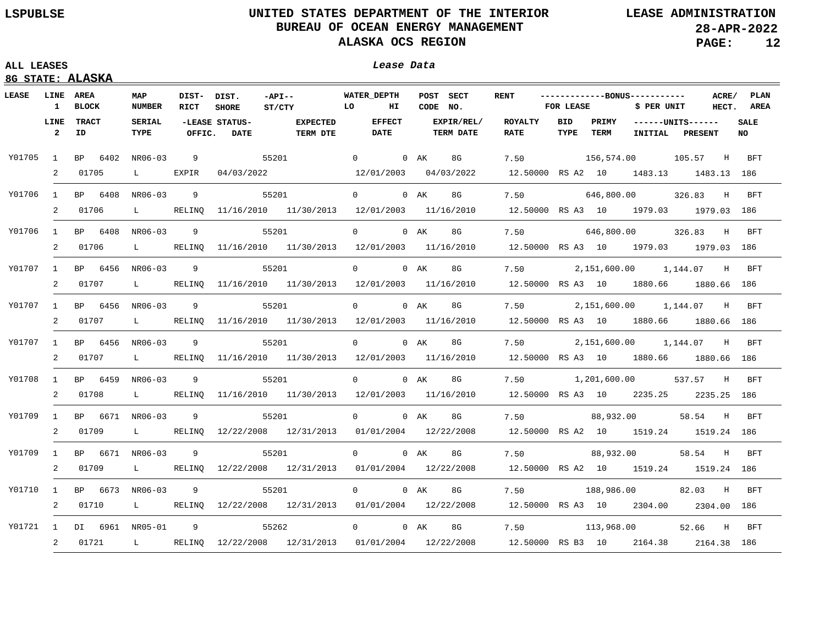| LEASE  | <b>LINE AREA</b>       |                   | MAP                           | DIST- DIST.    |                               | $-API --$                                                                                  | <b>WATER DEPTH</b>           |    |          | POST SECT                      | <b>RENT</b>                           |             |                      | ------------BONUS-----------          |                                  | ACRE/ | <b>PLAN</b> |
|--------|------------------------|-------------------|-------------------------------|----------------|-------------------------------|--------------------------------------------------------------------------------------------|------------------------------|----|----------|--------------------------------|---------------------------------------|-------------|----------------------|---------------------------------------|----------------------------------|-------|-------------|
|        |                        | 1 BLOCK           | <b>NUMBER</b>                 | RICT           | <b>SHORE</b>                  | $\overline{L}$ $\overline{L}$ $\overline{C}$<br>ST/CTY                                     |                              | НΙ | CODE NO. |                                |                                       | FOR LEASE   |                      | \$ PER UNIT                           |                                  | HECT. | AREA        |
|        | LINE<br>$\overline{2}$ | TRACT<br>ID       | <b>SERIAL</b><br>TYPE         | OFFIC.         | -LEASE STATUS-<br><b>DATE</b> | <b>EXPECTED</b><br><b>TERM DTE</b>                                                         | <b>EFFECT</b><br><b>DATE</b> |    |          | EXPIR/REL/<br><b>TERM DATE</b> | <b>ROYALTY</b><br><b>RATE</b>         | BID<br>TYPE | PRIMY<br><b>TERM</b> |                                       | $---UNITS---$<br>INITIAL PRESENT |       | SALE<br>NO  |
| Y01705 | 1                      | BP 6402 NR06-03   |                               |                | 9 55201                       |                                                                                            | $\overline{0}$               |    | 0 AK     | 8G                             | 7.50                                  |             |                      | 156,574.00 105.57 H BFT               |                                  |       |             |
|        | 2                      | 01705             | $\mathbf{L}$ and $\mathbf{L}$ | EXPIR          | 04/03/2022                    |                                                                                            | 12/01/2003 04/03/2022        |    |          |                                |                                       |             |                      | 12.50000 RS A2 10 1483.13 1483.13 186 |                                  |       |             |
| Y01706 |                        | 1 BP 6408 NR06-03 |                               | 9              |                               | 55201                                                                                      | 0 0 AK                       |    |          | 8G                             | 7.50                                  |             |                      | 646,800.00 326.83 H BFT               |                                  |       |             |
|        | 2                      | 01706             | $\mathbf{L}$                  |                |                               | RELINQ 11/16/2010 11/30/2013 12/01/2003 11/16/2010                                         |                              |    |          |                                |                                       |             |                      | 12.50000 RS A3 10 1979.03 1979.03 186 |                                  |       |             |
| Y01706 |                        | 1 BP 6408 NR06-03 |                               | 9              | 55201                         |                                                                                            | $0 \qquad \qquad$            |    | $0$ AK   | 8G                             | 7.50                                  |             |                      | 646,800.00 326.83 H BFT               |                                  |       |             |
|        | 2                      | 01706             | $\mathbf{L}$                  | RELINQ         |                               | $11/16/2010$ $11/30/2013$ $12/01/2003$ $11/16/2010$                                        |                              |    |          |                                |                                       |             |                      | 12.50000 RS A3 10 1979.03 1979.03 186 |                                  |       |             |
| Y01707 | 1                      | BP 6456           | NR06-03                       | 9              |                               | 55201                                                                                      | $0 \qquad \qquad$            |    | 0 AK     | 8G                             |                                       |             |                      | 7.50 2,151,600.00 1,144.07 H          |                                  |       | BFT         |
|        | 2                      | 01707             | $\mathbf{L}$ and $\mathbf{L}$ | RELINO         |                               | 11/16/2010 11/30/2013 12/01/2003 11/16/2010                                                |                              |    |          |                                |                                       |             |                      | 12.50000 RS A3 10 1880.66 1880.66 186 |                                  |       |             |
| Y01707 | $\mathbf{1}$           | BP 6456           | NR06-03                       | -9             |                               | 55201                                                                                      | $\Omega$                     |    | $0$ AK   | 8G                             |                                       |             |                      | 7.50 2,151,600.00 1,144.07 H BFT      |                                  |       |             |
|        | 2                      | 01707             | L RELINO                      |                |                               | 11/16/2010 11/30/2013 12/01/2003 11/16/2010                                                |                              |    |          |                                |                                       |             |                      | 12.50000 RS A3 10 1880.66 1880.66 186 |                                  |       |             |
| Y01707 | $\mathbf{1}$           | BP 6456 NR06-03   |                               | - 9            |                               | 55201                                                                                      | $0 \qquad \qquad$            |    | 0 AK     | 8G                             |                                       |             |                      | 7.50 2,151,600.00 1,144.07 H BFT      |                                  |       |             |
|        | 2                      | 01707             | $\mathbf{L}$ and $\mathbf{L}$ | RELINO         |                               | 11/16/2010 11/30/2013 12/01/2003 11/16/2010                                                |                              |    |          |                                |                                       |             |                      | 12.50000 RS A3 10 1880.66 1880.66 186 |                                  |       |             |
| Y01708 | $\mathbf{1}$           | BP 6459 NR06-03   |                               | 9              |                               | 55201                                                                                      | $\overline{0}$               |    | 0 AK     | 8G                             |                                       |             |                      | 7.50 1,201,600.00 537.57 H            |                                  |       | BFT         |
|        | 2                      | 01708             | $\mathbf{L}$ and $\mathbf{L}$ | RELINO         |                               | $11/16/2010$ $11/30/2013$ $12/01/2003$ $11/16/2010$                                        |                              |    |          |                                |                                       |             |                      | 12.50000 RS A3 10 2235.25 2235.25 186 |                                  |       |             |
| Y01709 |                        | 1 BP 6671 NR06-03 |                               | 9              |                               | 55201                                                                                      | $0 \qquad \qquad$            |    | $0$ AK   | 8G                             | 7.50                                  |             |                      | 88,932.00                             | 58.54 H BFT                      |       |             |
|        | 2                      | 01709             | $\mathbf{L}$ and $\mathbf{L}$ |                |                               | RELINQ 12/22/2008 12/31/2013 01/01/2004 12/22/2008                                         |                              |    |          |                                |                                       |             |                      | 12.50000 RS A2 10 1519.24 1519.24 186 |                                  |       |             |
| Y01709 | 1                      | BP 6671 NR06-03   |                               | 9              |                               | 55201                                                                                      | $\overline{0}$               |    | $0$ AK   | 8G                             | 7.50                                  |             |                      | 88,932.00                             | 58.54 H                          |       | BFT         |
|        | 2                      | 01709             | $\mathbf{L}$ and $\mathbf{L}$ | RELINO         |                               | 12/22/2008 12/31/2013 01/01/2004 12/22/2008                                                |                              |    |          |                                |                                       |             |                      | 12.50000 RS A2 10 1519.24 1519.24 186 |                                  |       |             |
| Y01710 | 1                      | BP 6673 NR06-03   |                               | 9              |                               | 55201                                                                                      | $0 \qquad \qquad$            |    | 0 AK     | 8G                             | 7.50                                  |             |                      | 188,986.00                            | 82.03 H                          |       | <b>BFT</b>  |
|        | 2                      | 01710             | $\mathbf{L}$ and $\mathbf{L}$ |                |                               | RELINQ 12/22/2008 12/31/2013 01/01/2004 12/22/2008                                         |                              |    |          |                                | 12.50000 RS A3 10 2304.00 2304.00 186 |             |                      |                                       |                                  |       |             |
| Y01721 |                        | 1 DI 6961 NR05-01 |                               | $\overline{9}$ |                               | 55262                                                                                      | $0 \qquad \qquad$            |    | $0$ AK   | 8G                             | 7.50                                  |             |                      | 113,968.00                            | 52.66 H                          |       | BFT         |
|        |                        | 2 01721           |                               |                |                               | L RELINQ 12/22/2008 12/31/2013 01/01/2004 12/22/2008 12.50000 RS B3 10 2164.38 2164.38 186 |                              |    |          |                                |                                       |             |                      |                                       |                                  |       |             |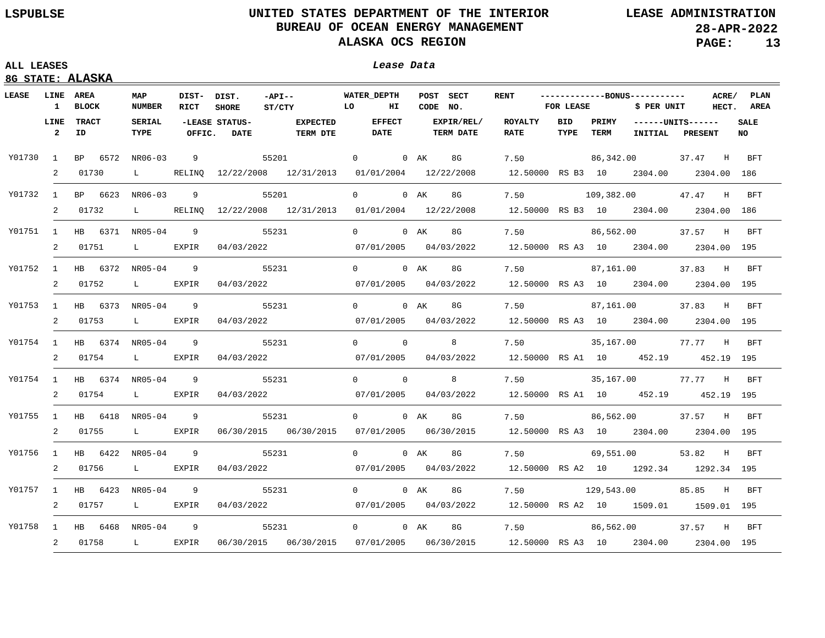## **ALL LEASES Lease Data**

| Lease Data |  |
|------------|--|
|            |  |
|            |  |

| LEASE  | LINE AREA<br>$\mathbf{1}$ | <b>BLOCK</b>             | MAP<br><b>NUMBER</b>          | DIST-<br>RICT  | DIST.<br><b>SHORE</b>          | $-API--$<br>$\overline{L}$ $\overline{C}$<br>ST/CTY                               | <b>WATER DEPTH</b>           | HI | POST SECT<br>CODE NO. |                                | <b>RENT</b>                           | -------------BONUS-----------<br>FOR LEASE |               | \$ PER UNIT              |                | ACRE/<br>HECT. | PLAN<br>AREA             |
|--------|---------------------------|--------------------------|-------------------------------|----------------|--------------------------------|-----------------------------------------------------------------------------------|------------------------------|----|-----------------------|--------------------------------|---------------------------------------|--------------------------------------------|---------------|--------------------------|----------------|----------------|--------------------------|
|        | LINE<br>$\overline{2}$    | <b>TRACT</b><br>ID       | <b>SERIAL</b><br>TYPE         | OFFIC.         | -LEASE STATUS-<br><b>DATE</b>  | <b>EXPECTED</b><br>TERM DTE                                                       | <b>EFFECT</b><br><b>DATE</b> |    |                       | EXPIR/REL/<br><b>TERM DATE</b> | <b>ROYALTY</b><br><b>RATE</b>         | <b>BID</b><br>TYPE                         | PRIMY<br>TERM | $---UNITS---$<br>INITIAL | <b>PRESENT</b> |                | <b>SALE</b><br><b>NO</b> |
| Y01730 | $\frac{1}{2}$             | BP 6572 NR06-03          |                               |                | $9 \left( \frac{1}{2} \right)$ | 55201                                                                             | $\overline{0}$               |    | $0$ AK                | 8G                             | 7.50                                  |                                            |               | 86,342.00                | 37.47 H        |                | BFT                      |
|        | 2                         | 01730                    | $\mathbf{L}$ and $\mathbf{L}$ |                |                                | RELINQ 12/22/2008 12/31/2013 01/01/2004 12/22/2008                                |                              |    |                       |                                | 12.50000 RS B3 10 2304.00 2304.00 186 |                                            |               |                          |                |                |                          |
|        |                           | Y01732 1 BP 6623 NR06-03 |                               | 9              |                                | 55201                                                                             | $\overline{0}$               |    | 0 AK                  | 8G                             | 7.50                                  |                                            |               | 109,382.00 47.47 H       |                |                | <b>BFT</b>               |
|        |                           | 2 01732                  | $\mathbf{L}$ and $\mathbf{L}$ |                |                                | RELINQ 12/22/2008 12/31/2013 01/01/2004 12/22/2008                                |                              |    |                       |                                | 12.50000 RS B3 10 2304.00 2304.00 186 |                                            |               |                          |                |                |                          |
|        |                           | Y01751 1 HB 6371 NR05-04 |                               | 9              |                                | 55231                                                                             | $\overline{0}$               |    | 0 AK                  | 8G                             | 7.50                                  |                                            |               | 86,562.00                | 37.57 H BFT    |                |                          |
|        |                           | 2 01751                  | $\mathbf{L}$ and $\mathbf{L}$ | EXPIR          | 04/03/2022                     |                                                                                   | 07/01/2005  04/03/2022       |    |                       |                                | 12.50000 RS A3 10 2304.00 2304.00 195 |                                            |               |                          |                |                |                          |
| Y01752 |                           | 1 HB 6372 NR05-04        |                               | 9              |                                | 55231                                                                             | 0 0 AK                       |    |                       | 8G                             | 7.50                                  |                                            |               | 87,161.00                | 37.83 H BFT    |                |                          |
|        |                           | 2 01752                  | $\mathbf{L}$ and $\mathbf{L}$ | EXPIR          | 04/03/2022                     |                                                                                   | 07/01/2005  04/03/2022       |    |                       |                                | 12.50000 RS A3 10 2304.00 2304.00 195 |                                            |               |                          |                |                |                          |
| Y01753 |                           | 1 HB 6373 NR05-04        |                               | $\overline{9}$ |                                | 55231                                                                             | 0 0 AK                       |    |                       | 8G                             | 7.50                                  |                                            |               | 87,161.00                | 37.83 H BFT    |                |                          |
|        |                           | 2 01753                  | $\mathbf{L}$ and $\mathbf{L}$ | EXPIR          | 04/03/2022                     |                                                                                   | 07/01/2005 04/03/2022        |    |                       |                                | 12.50000 RS A3 10 2304.00 2304.00 195 |                                            |               |                          |                |                |                          |
|        |                           | Y01754 1 HB 6374 NR05-04 |                               | 9              |                                | 55231                                                                             | $0 \qquad \qquad 0$          |    |                       | 8                              | 7.50                                  |                                            |               | 35,167.00                | 77.77 H BFT    |                |                          |
|        |                           | 2 01754                  | $\mathbf{L}$ and $\mathbf{L}$ | EXPIR          | 04/03/2022                     |                                                                                   | 07/01/2005                   |    |                       | 04/03/2022                     | 12.50000 RS A1 10 452.19              |                                            |               |                          |                |                | 452.19 195               |
|        |                           | Y01754 1 HB 6374 NR05-04 |                               | $\overline{9}$ |                                | 55231                                                                             | $0 \qquad \qquad 0$          |    |                       | 8                              | 7.50                                  |                                            |               | 35,167.00 77.77 H BFT    |                |                |                          |
|        |                           | 2 01754                  | $\mathbf{L}$ and $\mathbf{L}$ | EXPIR          | 04/03/2022                     |                                                                                   | 07/01/2005   04/03/2022      |    |                       |                                | 12.50000 RS A1 10 452.19 452.19 195   |                                            |               |                          |                |                |                          |
| Y01755 |                           | 1 HB 6418 NR05-04        |                               | 9              |                                | 55231                                                                             | 0 0 AK                       |    |                       | 8G                             | 7.50                                  |                                            |               | 86,562.00 37.57 H BFT    |                |                |                          |
|        |                           | 2 01755                  | $\mathbf{L}$ and $\mathbf{L}$ | EXPIR          |                                | 06/30/2015  06/30/2015  07/01/2005  06/30/2015                                    |                              |    |                       |                                | 12.50000 RS A3 10 2304.00 2304.00 195 |                                            |               |                          |                |                |                          |
| Y01756 |                           | 1 HB 6422 NR05-04        |                               | 9              |                                | 55231                                                                             | $0 \qquad \qquad$            |    | 0 AK                  | 8G                             | 7.50                                  |                                            |               | 69,551.00                | 53.82 H BFT    |                |                          |
|        |                           | 2 01756                  | $\mathbf{L}$ and $\mathbf{L}$ | EXPIR          | 04/03/2022                     | $07/01/2005$ 04/03/2022                                                           |                              |    |                       |                                | 12.50000 RS A2 10 1292.34 1292.34 195 |                                            |               |                          |                |                |                          |
| Y01757 |                           | 1 HB 6423 NR05-04        |                               | 9              |                                | 55231                                                                             | $0 \qquad \qquad$            |    | $0$ AK                | 8G                             | 7.50                                  |                                            |               | 129,543.00               | 85.85 H        |                | BFT                      |
|        |                           | 2 01757                  | $\mathbf{L}$ and $\mathbf{L}$ | EXPIR          |                                | $04/03/2022$ $07/01/2005$ $04/03/2022$ $12.50000$ RS A2 10 $1509.01$ 1509.01 195  |                              |    |                       |                                |                                       |                                            |               |                          |                |                |                          |
|        |                           | Y01758 1 HB 6468 NR05-04 |                               | $\overline{9}$ |                                | 55231                                                                             | $\overline{0}$               |    | $0$ AK                | 8G                             | 7.50                                  |                                            | 86,562.00     |                          | 37.57 H        |                | <b>BFT</b>               |
|        |                           | 2 01758                  | $\mathbf{L}$ and $\mathbf{L}$ | EXPIR          |                                | 06/30/2015 06/30/2015 07/01/2005 06/30/2015 12.50000 RS A3 10 2304.00 2304.00 195 |                              |    |                       |                                |                                       |                                            |               |                          |                |                |                          |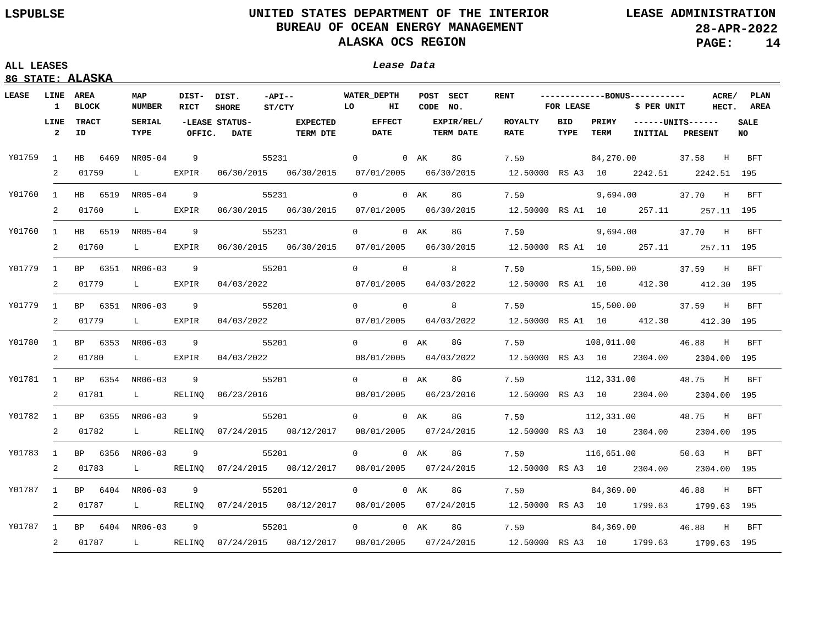## **ALL LEASES Lease Data**

| LEASE    | LINE<br>1              | AREA<br><b>BLOCK</b> | MAP<br><b>NUMBER</b>          | DIST- DIST.<br><b>RICT</b> | <b>SHORE</b>                  | $-API --$<br><b>EXECUTE:</b><br>ST/CTY                                                     | <b>WATER DEPTH</b>           | нτ             | CODE NO. | POST SECT                      | <b>RENT</b>                           | FOR LEASE   |               | ------------BONUS-----------<br>\$ PER UNIT |         | ACRE/<br>HECT. | PLAN<br>AREA       |
|----------|------------------------|----------------------|-------------------------------|----------------------------|-------------------------------|--------------------------------------------------------------------------------------------|------------------------------|----------------|----------|--------------------------------|---------------------------------------|-------------|---------------|---------------------------------------------|---------|----------------|--------------------|
|          | LINE<br>$\overline{2}$ | <b>TRACT</b><br>ID   | <b>SERIAL</b><br>TYPE         | OFFIC.                     | -LEASE STATUS-<br><b>DATE</b> | <b>EXPECTED</b><br><b>TERM DTE</b>                                                         | <b>EFFECT</b><br><b>DATE</b> |                |          | EXPIR/REL/<br><b>TERM DATE</b> | <b>ROYALTY</b><br><b>RATE</b>         | BID<br>TYPE | PRIMY<br>TERM | $---UNITS---$<br>INITIAL                    | PRESENT |                | <b>SALE</b><br>NO. |
| Y01759   | 1                      | HB 6469 NR05-04      |                               | 9                          |                               | 55231                                                                                      | $\overline{0}$               |                | 0 AK     | 8G                             | 7.50                                  |             |               | 84,270.00                                   | 37.58   | H              | BFT                |
|          | 2                      | 01759                | $\mathbf{L}$ and $\mathbf{L}$ | EXPIR                      |                               | 06/30/2015 06/30/2015 07/01/2005 06/30/2015                                                |                              |                |          |                                | 12.50000 RS A3 10 2242.51 2242.51 195 |             |               |                                             |         |                |                    |
| Y01760   |                        | 1 HB 6519 NR05-04    |                               | 9                          |                               | 55231                                                                                      | $\Omega$                     |                | 0 AK     | 8G                             | 7.50                                  |             |               | 9,694.00                                    | 37.70 H |                | BFT                |
|          | 2                      | 01760                | $\mathbf{L}$ and $\mathbf{L}$ | EXPIR                      |                               | 06/30/2015 06/30/2015 07/01/2005 06/30/2015                                                |                              |                |          |                                | 12.50000 RS A1 10 257.11              |             |               |                                             |         |                | 257.11 195         |
| Y01760   | $\mathbf{1}$           | HB 6519 NR05-04      |                               | 9                          |                               | 55231                                                                                      | $\Omega$                     |                | $0$ AK   | 8G                             | 7.50                                  |             |               | 9,694.00                                    | 37.70 H |                | <b>BFT</b>         |
|          | 2                      | 01760                | $\mathbf{L}$                  | EXPIR                      |                               | 06/30/2015 06/30/2015 07/01/2005 06/30/2015                                                |                              |                |          |                                | 12.50000 RS A1 10 257.11              |             |               |                                             |         |                | 257.11 195         |
| Y01779 1 |                        | BP 6351 NR06-03      |                               | 9                          |                               | 55201                                                                                      | $\Omega$                     | $\overline{0}$ |          | 8                              | 7.50                                  |             | 15,500.00     |                                             | 37.59   | H              | BFT                |
|          | 2                      | 01779                | $\mathbf{L}$ and $\mathbf{L}$ | EXPIR                      | 04/03/2022                    |                                                                                            | 07/01/2005                   |                |          | 04/03/2022                     | 12.50000 RS A1 10 412.30              |             |               |                                             |         |                | 412.30 195         |
| Y01779 1 |                        | BP 6351 NR06-03      |                               | 9                          |                               | 55201                                                                                      | $0 \qquad \qquad 0$          |                |          | 8                              | 7.50                                  |             |               | 15,500.00                                   | 37.59 H |                | BFT                |
|          | 2                      | 01779                | $\mathbf{L}$ and $\mathbf{L}$ | EXPIR                      | 04/03/2022                    |                                                                                            | 07/01/2005                   |                |          | 04/03/2022                     | 12.50000 RS A1 10 412.30              |             |               |                                             |         |                | 412.30 195         |
| Y01780   | $\mathbf{1}$           | BP 6353 NR06-03      |                               | 9                          |                               | 55201                                                                                      | 0 0 AK                       |                |          | 8G                             | 7.50                                  |             |               | 108,011.00                                  | 46.88   | H              | <b>BFT</b>         |
|          | 2                      | 01780                | $\mathbf{L}$ and $\mathbf{L}$ | EXPIR                      | 04/03/2022                    |                                                                                            | 08/01/2005  04/03/2022       |                |          |                                | 12.50000 RS A3 10 2304.00 2304.00 195 |             |               |                                             |         |                |                    |
| Y01781 1 |                        | BP 6354 NR06-03      |                               | 9                          |                               | 55201                                                                                      | 0 0 AK                       |                |          | 8G                             | 7.50                                  |             |               | 112,331.00                                  | 48.75   | $_{\rm H}$     | <b>BFT</b>         |
|          | 2                      | 01781                | $\mathbf{L}$ and $\mathbf{L}$ | RELINQ                     | 06/23/2016                    |                                                                                            | 08/01/2005  06/23/2016       |                |          |                                | 12.50000 RS A3 10 2304.00 2304.00 195 |             |               |                                             |         |                |                    |
| Y01782   |                        | 1 BP 6355 NR06-03    |                               | 9                          |                               | 55201                                                                                      | $\overline{0}$               |                | $0$ AK   | 8G                             | 7.50                                  |             |               | 112,331.00                                  | 48.75 H |                | BFT                |
|          | $\overline{2}$         | 01782                | $\mathbf{L}$ and $\mathbf{L}$ |                            |                               | RELINQ 07/24/2015 08/12/2017 08/01/2005 07/24/2015                                         |                              |                |          |                                | 12.50000 RS A3 10 2304.00 2304.00 195 |             |               |                                             |         |                |                    |
| Y01783   | $\mathbf{1}$           | BP 6356 NR06-03      |                               | 9                          |                               | 55201                                                                                      | $0 \qquad \qquad$            |                | 0 AK     | 8G                             | 7.50                                  |             |               | 116,651.00                                  | 50.63 H |                | BFT                |
|          | $\overline{2}$         | 01783                | $\mathbf{L}$ and $\mathbf{L}$ |                            |                               | RELINQ 07/24/2015 08/12/2017 08/01/2005 07/24/2015                                         |                              |                |          |                                | 12.50000 RS A3 10 2304.00 2304.00 195 |             |               |                                             |         |                |                    |
| Y01787   |                        | 1 BP 6404 NR06-03    |                               | 9                          |                               | 55201                                                                                      | $0 \qquad \qquad$            |                | 0 AK     | 8G                             | 7.50                                  |             |               | 84,369.00                                   | 46.88 H |                | BFT                |
|          |                        | 2 01787              | $\mathbf{L}$ and $\mathbf{L}$ |                            |                               | RELINQ 07/24/2015 08/12/2017 08/01/2005 07/24/2015 12.50000 RS A3 10 1799.63 1799.63 195   |                              |                |          |                                |                                       |             |               |                                             |         |                |                    |
| Y01787 1 |                        | BP 6404 NR06-03      |                               | 9                          |                               | 55201                                                                                      | $\overline{0}$               |                | $0$ AK   | 8G                             | 7.50                                  |             | 84,369.00     |                                             | 46.88 H |                | BFT                |
|          |                        | 2 01787              |                               |                            |                               | L RELINQ 07/24/2015 08/12/2017 08/01/2005 07/24/2015 12.50000 RS A3 10 1799.63 1799.63 195 |                              |                |          |                                |                                       |             |               |                                             |         |                |                    |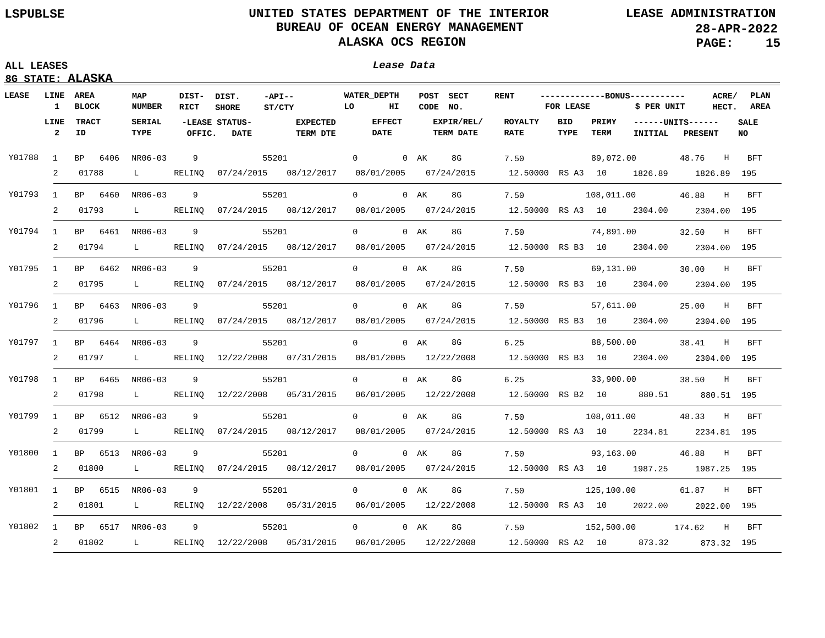### **ALL LEASES Lease Data**

| LEASE    | <b>LINE AREA</b><br>$\mathbf{1}$ | <b>BLOCK</b>             | MAP<br><b>NUMBER</b>            | DIST- DIST.<br>RICT | <b>SHORE</b>                  | $-API--$<br>ST/CTY                                                                       | <b>WATER DEPTH</b><br>LO<br>ш |        | POST SECT<br>CODE NO.          | <b>RENT</b>                           | FOR LEASE                           |           | -------------BONUS-----------<br>\$ PER UNIT |         |            | ACRE/ PLAN<br>HECT. AREA |
|----------|----------------------------------|--------------------------|---------------------------------|---------------------|-------------------------------|------------------------------------------------------------------------------------------|-------------------------------|--------|--------------------------------|---------------------------------------|-------------------------------------|-----------|----------------------------------------------|---------|------------|--------------------------|
|          | LINE<br>$\overline{2}$           | <b>TRACT</b><br>ID.      | SERIAL<br><b>TYPE</b>           | OFFIC.              | -LEASE STATUS-<br><b>DATE</b> | <b>EXPECTED</b><br><b>TERM DTE</b>                                                       | <b>EFFECT</b><br><b>DATE</b>  |        | EXPIR/REL/<br><b>TERM DATE</b> | ROYALTY<br><b>RATE</b>                | BID<br>PRIMY<br>TYPE<br><b>TERM</b> |           | ------UNITS------<br><b>INITIAL</b>          |         | PRESENT    |                          |
| Y01788 1 |                                  | BP 6406                  | NR06-03                         | 9                   |                               | 55201                                                                                    | $\overline{0}$                | 0 AK   | 8G                             | 7.50                                  |                                     |           | 89,072.00                                    | 48.76   | $_{\rm H}$ | BFT                      |
|          | $\overline{a}$                   | 01788                    | $\mathbf{L}$ and $\mathbf{L}$   |                     |                               | RELINQ 07/24/2015 08/12/2017 08/01/2005 07/24/2015                                       |                               |        |                                | 12.50000 RS A3 10 1826.89 1826.89 195 |                                     |           |                                              |         |            |                          |
|          |                                  | Y01793 1 BP 6460 NR06-03 |                                 | 9                   |                               | 55201                                                                                    | $\overline{0}$                | $0$ AK | 8G                             | 7.50                                  |                                     |           | 108,011.00                                   | 46.88   | H          | <b>BFT</b>               |
|          | 2                                | 01793                    | $\mathbf{L}$ and $\mathbf{L}$   |                     |                               | RELINQ 07/24/2015 08/12/2017 08/01/2005 07/24/2015                                       |                               |        |                                | 12.50000 RS A3 10 2304.00 2304.00 195 |                                     |           |                                              |         |            |                          |
|          |                                  | Y01794 1 BP 6461 NR06-03 |                                 | $\overline{9}$      |                               | 55201                                                                                    | $\overline{0}$                | $0$ AK | 8G                             | 7.50                                  |                                     |           | 74,891.00                                    | 32.50   | H          | BFT                      |
|          |                                  | 2 01794                  |                                 |                     |                               | L RELINQ 07/24/2015 08/12/2017 08/01/2005 07/24/2015                                     |                               |        |                                | 12.50000 RS B3 10 2304.00 2304.00 195 |                                     |           |                                              |         |            |                          |
|          |                                  | Y01795 1 BP 6462 NR06-03 |                                 | 9                   |                               | 55201                                                                                    | $\overline{0}$                | $0$ AK | 8G                             | 7.50                                  |                                     | 69,131.00 |                                              | 30.00   | $_{\rm H}$ | BFT                      |
|          |                                  | 2 01795                  | $\mathbf{L}$ and $\mathbf{L}$   |                     |                               | RELINQ 07/24/2015 08/12/2017 08/01/2005 07/24/2015                                       |                               |        |                                | 12.50000 RS B3 10 2304.00 2304.00 195 |                                     |           |                                              |         |            |                          |
| Y01796   |                                  |                          | 1 BP 6463 NR06-03<br>9<br>55201 |                     |                               | $\overline{0}$                                                                           | $0$ AK                        | 8G     | 7.50                           |                                       |                                     | 57,611.00 | 25.00 H                                      |         | BFT        |                          |
|          | 2                                | 01796                    | $\mathbf{L}$ and $\mathbf{L}$   |                     |                               | RELINQ 07/24/2015 08/12/2017 08/01/2005 07/24/2015                                       |                               |        |                                | 12.50000 RS B3 10 2304.00 2304.00 195 |                                     |           |                                              |         |            |                          |
| Y01797   | 1                                | BP 6464 NR06-03          |                                 | 9                   |                               | 55201                                                                                    | $0 \qquad \qquad$             | 0 AK   | 8G                             | 6.25                                  |                                     |           | 88,500.00                                    | 38.41 H |            | <b>BFT</b>               |
|          | 2                                | 01797                    | $\mathbf{L}$ and $\mathbf{L}$   |                     |                               | RELINQ 12/22/2008 07/31/2015 08/01/2005 12/22/2008                                       |                               |        |                                | 12.50000 RS B3 10 2304.00 2304.00 195 |                                     |           |                                              |         |            |                          |
| Y01798   | 1                                | BP 6465 NR06-03          |                                 | 9                   |                               | 55201                                                                                    | $0 \qquad \qquad$             | $0$ AK | 8G                             | 6.25                                  |                                     |           | 33,900.00                                    | 38.50 H |            | BFT                      |
|          | 2                                | 01798                    |                                 |                     |                               | L RELINQ 12/22/2008 05/31/2015 06/01/2005 12/22/2008                                     |                               |        |                                | 12.50000 RS B2 10 880.51              |                                     |           |                                              |         |            | 880.51 195               |
| Y01799   | $\mathbf{1}$                     | BP 6512 NR06-03          |                                 | 9                   |                               | 55201                                                                                    | $0 \qquad \qquad$             | $0$ AK | 8G                             | 7.50                                  |                                     |           | 108,011.00                                   | 48.33 H |            | BFT                      |
|          | 2                                | 01799                    |                                 |                     |                               | L RELINQ 07/24/2015 08/12/2017 08/01/2005 07/24/2015                                     |                               |        |                                | 12.50000 RS A3 10 2234.81 2234.81 195 |                                     |           |                                              |         |            |                          |
| Y01800   | $\mathbf{1}$                     | BP 6513 NR06-03          |                                 | $\overline{9}$      |                               | 55201                                                                                    | $0 \qquad \qquad$             | $0$ AK | 8G                             | 7.50                                  |                                     |           | 93,163.00                                    | 46.88 H |            | BFT                      |
|          | 2                                | 01800                    | $\mathbf{L}$ and $\mathbf{L}$   |                     |                               | RELINQ 07/24/2015 08/12/2017 08/01/2005 07/24/2015 12.50000 RS A3 10 1987.25 1987.25 195 |                               |        |                                |                                       |                                     |           |                                              |         |            |                          |
| Y01801   | 1                                | BP 6515 NR06-03          |                                 | 9                   |                               | 55201                                                                                    | $0 \qquad \qquad$             | 0 AK   | 8G                             | 7.50                                  |                                     |           | 125,100.00                                   | 61.87 H |            | BFT                      |
|          | 2                                | 01801                    | $\mathbf{L}$ and $\mathbf{L}$   |                     |                               | RELINQ 12/22/2008 05/31/2015 06/01/2005 12/22/2008 12.50000 RS A3 10 2022.00 2022.00 195 |                               |        |                                |                                       |                                     |           |                                              |         |            |                          |
| Y01802   | $\mathbf{1}$                     | BP 6517 NR06-03          |                                 | 9                   |                               | 55201                                                                                    | $\overline{0}$                | 0 AK   | 8G                             | 7.50                                  |                                     |           | 152,500.00 174.62 H                          |         |            | BFT                      |
|          | 2                                | 01802                    |                                 |                     |                               | L RELINQ 12/22/2008 05/31/2015 06/01/2005 12/22/2008 12.50000 RS A2 10 873.32 873.32 195 |                               |        |                                |                                       |                                     |           |                                              |         |            |                          |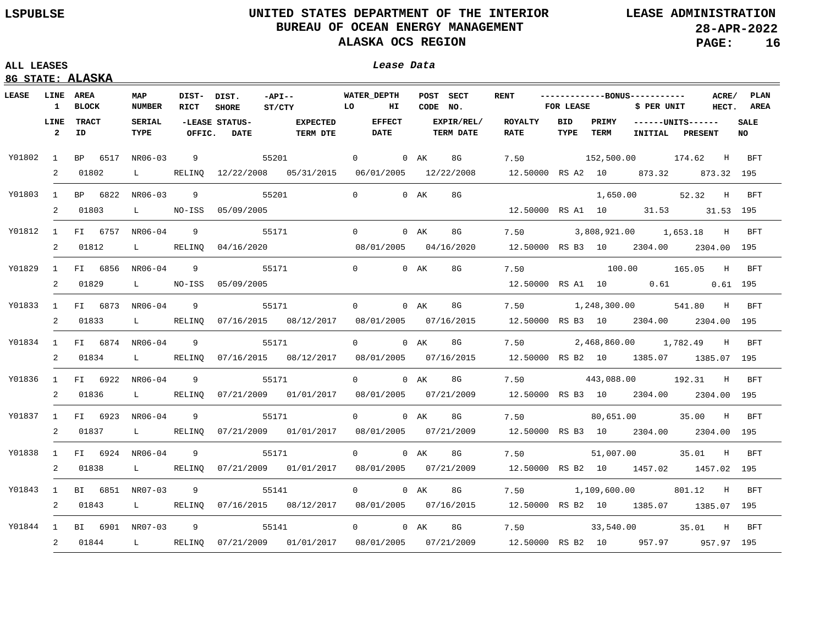## **8G STATE: ALASKA**

| LEASE    | LINE<br>$\mathbf{1}$   | AREA<br><b>BLOCK</b>     | MAP<br><b>NUMBER</b>          | DIST- DIST.<br>RICT | <b>SHORE</b>                  | $-API --$<br>ST/CTY                                                                      | <b>WATER DEPTH</b><br>POST SECT<br>LO<br>ш<br>CODE NO. |                              |        | <b>RENT</b>                    | FOR LEASE                             |                    | -------------BONUS-----------<br>\$ PER UNIT<br>HECT. |         |                          | ACRE/ PLAN<br>AREA |                   |
|----------|------------------------|--------------------------|-------------------------------|---------------------|-------------------------------|------------------------------------------------------------------------------------------|--------------------------------------------------------|------------------------------|--------|--------------------------------|---------------------------------------|--------------------|-------------------------------------------------------|---------|--------------------------|--------------------|-------------------|
|          | LINE<br>$\overline{2}$ | <b>TRACT</b><br>ID       | SERIAL<br>TYPE                | OFFIC.              | -LEASE STATUS-<br><b>DATE</b> | <b>EXPECTED</b><br><b>TERM DTE</b>                                                       |                                                        | <b>EFFECT</b><br><b>DATE</b> |        | EXPIR/REL/<br><b>TERM DATE</b> | ROYALTY<br>RATE                       | <b>BID</b><br>TYPE | PRIMY<br>TERM                                         | INITIAL | $---UNITS---$<br>PRESENT |                    | <b>SALE</b><br>NO |
| Y01802 1 |                        | BP 6517 NR06-03          |                               | -9                  |                               | 55201                                                                                    | $\overline{0}$                                         |                              |        | 0 AK 8G                        | 7.50                                  |                    | 152,500.00 174.62 H BFT                               |         |                          |                    |                   |
|          | 2                      | 01802                    | $\mathbf{L}$                  |                     |                               | RELINQ 12/22/2008 05/31/2015 06/01/2005 12/22/2008                                       |                                                        |                              |        |                                | 12.50000 RS A2 10 873.32 873.32 195   |                    |                                                       |         |                          |                    |                   |
| Y01803   |                        | 1 BP 6822 NR06-03        |                               | 9                   |                               | 55201                                                                                    | $\Omega$                                               |                              | 0 AK   | 8G                             |                                       |                    |                                                       |         | 1,650.00 52.32 H BFT     |                    |                   |
|          | 2                      | 01803                    | $\mathbf{L}$                  | NO-ISS              | 05/09/2005                    |                                                                                          |                                                        |                              |        |                                | 12.50000 RS A1 10 31.53 31.53 195     |                    |                                                       |         |                          |                    |                   |
|          |                        | Y01812 1 FI 6757 NR06-04 |                               | 9                   |                               | 55171                                                                                    | $\overline{0}$                                         |                              | 0 AK   | 8G                             | 7.50 3,808,921.00 1,653.18 H BFT      |                    |                                                       |         |                          |                    |                   |
|          |                        | 2 01812                  |                               |                     |                               | L RELINQ 04/16/2020 08/01/2005 04/16/2020                                                |                                                        |                              |        |                                | 12.50000 RS B3 10 2304.00 2304.00 195 |                    |                                                       |         |                          |                    |                   |
| Y01829   |                        | 1 FI 6856 NR06-04        |                               | 9                   |                               | 55171                                                                                    | $\Omega$                                               |                              | 0 AK   | 8G                             | 7.50                                  |                    | 100.00 165.05 H                                       |         |                          |                    | BFT               |
|          |                        | 2 01829                  | $\mathbf{L}$ and $\mathbf{L}$ |                     | NO-ISS 05/09/2005             |                                                                                          |                                                        |                              |        |                                | 12.50000 RS A1 10 0.61 0.61 195       |                    |                                                       |         |                          |                    |                   |
| Y01833   |                        | 1 FI 6873 NR06-04        |                               | 9                   |                               | 55171                                                                                    | $0 \qquad \qquad$                                      |                              | 0 AK   | 8G                             | 7.50                                  |                    | 1,248,300.00                                          |         | 541.80 H                 |                    | BFT               |
|          | $\overline{2}$         | 01833                    | $\mathbf{L}$ and $\mathbf{L}$ | RELINQ              |                               | 07/16/2015 08/12/2017                                                                    | 08/01/2005  07/16/2015                                 |                              |        |                                | 12.50000 RS B3 10 2304.00 2304.00 195 |                    |                                                       |         |                          |                    |                   |
| Y01834   |                        | 1 FI 6874 NR06-04        |                               | 9                   |                               | 55171                                                                                    | $\Omega$                                               |                              | $0$ AK | 8G                             | 7.50                                  |                    | 2,468,860.00                                          |         | 1,782.49 H BFT           |                    |                   |
|          | $\overline{2}$         | 01834                    | $\mathbf{L}$ and $\mathbf{L}$ | RELINQ              |                               | 07/16/2015  08/12/2017  08/01/2005  07/16/2015                                           |                                                        |                              |        |                                | 12.50000 RS B2 10 1385.07 1385.07 195 |                    |                                                       |         |                          |                    |                   |
| Y01836   |                        | 1 FI 6922 NR06-04        |                               | 9                   |                               | 55171                                                                                    | $\Omega$                                               |                              | $0$ AK | 8G                             | 7.50                                  |                    | 443,088.00 192.31 H                                   |         |                          |                    | BFT               |
|          | 2                      | 01836                    | $\mathbf{L}$ and $\mathbf{L}$ | RELINO              |                               | 07/21/2009  01/01/2017  08/01/2005  07/21/2009                                           |                                                        |                              |        |                                | 12.50000 RS B3 10 2304.00 2304.00 195 |                    |                                                       |         |                          |                    |                   |
| Y01837   |                        | 1 FI 6923 NR06-04        |                               | 9                   |                               | 55171                                                                                    | $0 \qquad \qquad$                                      |                              | $0$ AK | 8G                             | 7.50                                  |                    | 80,651.00                                             |         | 35.00 H                  |                    | BFT               |
|          | 2                      | 01837                    | $\mathbf{L}$ and $\mathbf{L}$ | RELINQ              |                               | 07/21/2009  01/01/2017  08/01/2005  07/21/2009                                           |                                                        |                              |        |                                | 12.50000 RS B3 10 2304.00 2304.00 195 |                    |                                                       |         |                          |                    |                   |
| Y01838   |                        | 1 FI 6924 NR06-04        |                               | 9                   |                               | 55171                                                                                    | $0 \qquad \qquad$                                      |                              | $0$ AK | 8G                             | 7.50                                  |                    | 51,007.00                                             |         | 35.01 H                  |                    | BFT               |
|          | 2                      | 01838                    | $\mathbf{L}$ and $\mathbf{L}$ | RELINO              |                               | 07/21/2009  01/01/2017  08/01/2005  07/21/2009                                           |                                                        |                              |        |                                | 12.50000 RS B2 10 1457.02 1457.02 195 |                    |                                                       |         |                          |                    |                   |
| Y01843   |                        | 1 BI 6851 NR07-03        |                               | 9                   |                               | 55141                                                                                    | $0 \qquad \qquad$                                      |                              | $0$ AK | 8G                             | 7.50                                  |                    | 1,109,600.00                                          |         | 801.12 H                 |                    | BFT               |
|          |                        | 2 01843                  | $\mathbf{L}$ and $\mathbf{L}$ |                     |                               | RELINQ 07/16/2015 08/12/2017 08/01/2005 07/16/2015 12.50000 RS B2 10 1385.07 1385.07 195 |                                                        |                              |        |                                |                                       |                    |                                                       |         |                          |                    |                   |
| Y01844 1 |                        | BI 6901 NR07-03          |                               | - 9                 |                               | 55141                                                                                    | $0 \qquad \qquad$                                      |                              | 0 AK   | 8G                             | 7.50                                  |                    | 33,540.00                                             |         | 35.01                    | H                  | BFT               |
|          |                        | 2 01844                  |                               |                     |                               | L RELINQ 07/21/2009 01/01/2017 08/01/2005 07/21/2009 12.50000 RS B2 10 957.97 957.97 195 |                                                        |                              |        |                                |                                       |                    |                                                       |         |                          |                    |                   |